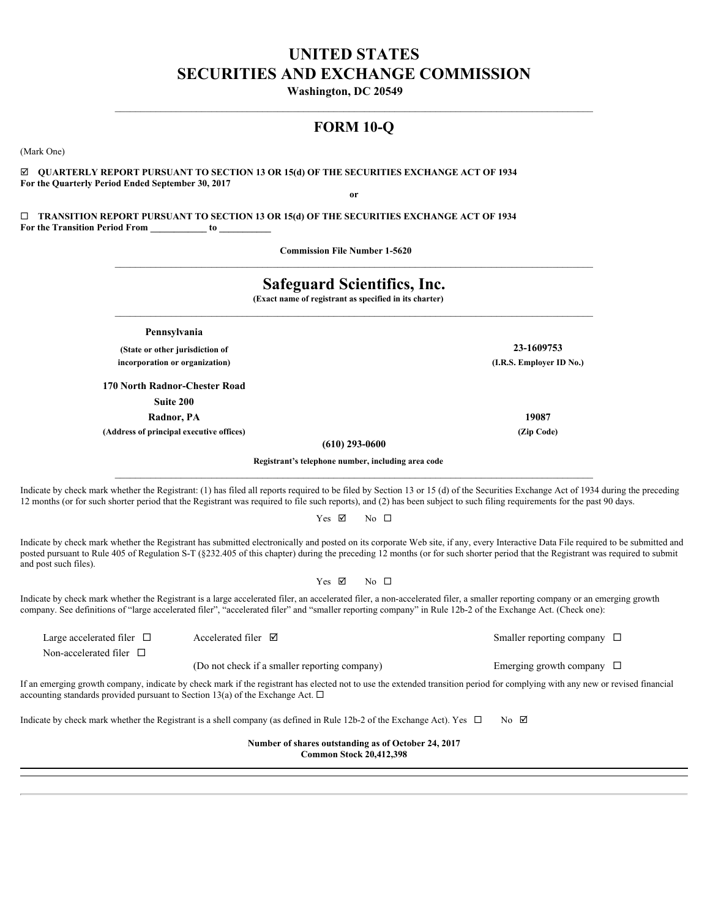# **UNITED STATES SECURITIES AND EXCHANGE COMMISSION**

**Washington, DC 20549** 

# **FORM 10-Q**

 $\mathcal{L}_\mathcal{L} = \mathcal{L}_\mathcal{L}$ 

(Mark One)

þ **QUARTERLY REPORT PURSUANT TO SECTION 13 OR 15(d) OF THE SECURITIES EXCHANGE ACT OF 1934 For the Quarterly Period Ended September 30, 2017 or**

¨ **TRANSITION REPORT PURSUANT TO SECTION 13 OR 15(d) OF THE SECURITIES EXCHANGE ACT OF 1934 For the Transition Period From \_\_\_\_\_\_\_\_\_\_\_\_ to \_\_\_\_\_\_\_\_\_\_\_**

**Commission File Number 1-5620** 

|                                                                                                                             | <b>Safeguard Scientifics, Inc.</b><br>(Exact name of registrant as specified in its charter) |                                                                                                                                                                                                                                                                                                                                                                                               |  |  |  |  |  |  |  |  |
|-----------------------------------------------------------------------------------------------------------------------------|----------------------------------------------------------------------------------------------|-----------------------------------------------------------------------------------------------------------------------------------------------------------------------------------------------------------------------------------------------------------------------------------------------------------------------------------------------------------------------------------------------|--|--|--|--|--|--|--|--|
|                                                                                                                             | Pennsylvania                                                                                 |                                                                                                                                                                                                                                                                                                                                                                                               |  |  |  |  |  |  |  |  |
|                                                                                                                             | (State or other jurisdiction of                                                              | 23-1609753                                                                                                                                                                                                                                                                                                                                                                                    |  |  |  |  |  |  |  |  |
|                                                                                                                             | incorporation or organization)                                                               | (I.R.S. Employer ID No.)                                                                                                                                                                                                                                                                                                                                                                      |  |  |  |  |  |  |  |  |
|                                                                                                                             | 170 North Radnor-Chester Road                                                                |                                                                                                                                                                                                                                                                                                                                                                                               |  |  |  |  |  |  |  |  |
|                                                                                                                             | Suite 200                                                                                    |                                                                                                                                                                                                                                                                                                                                                                                               |  |  |  |  |  |  |  |  |
|                                                                                                                             | Radnor, PA                                                                                   | 19087                                                                                                                                                                                                                                                                                                                                                                                         |  |  |  |  |  |  |  |  |
|                                                                                                                             | (Address of principal executive offices)                                                     | (Zip Code)                                                                                                                                                                                                                                                                                                                                                                                    |  |  |  |  |  |  |  |  |
|                                                                                                                             | $(610)$ 293-0600                                                                             |                                                                                                                                                                                                                                                                                                                                                                                               |  |  |  |  |  |  |  |  |
|                                                                                                                             | Registrant's telephone number, including area code                                           |                                                                                                                                                                                                                                                                                                                                                                                               |  |  |  |  |  |  |  |  |
| and post such files).                                                                                                       | Yes ⊠<br>Yes $\boxtimes$                                                                     | No $\Box$<br>Indicate by check mark whether the Registrant has submitted electronically and posted on its corporate Web site, if any, every Interactive Data File required to be submitted and<br>posted pursuant to Rule 405 of Regulation S-T (§232.405 of this chapter) during the preceding 12 months (or for such shorter period that the Registrant was required to submit<br>No $\Box$ |  |  |  |  |  |  |  |  |
|                                                                                                                             |                                                                                              | Indicate by check mark whether the Registrant is a large accelerated filer, an accelerated filer, a non-accelerated filer, a smaller reporting company or an emerging growth<br>company. See definitions of "large accelerated filer", "accelerated filer" and "smaller reporting company" in Rule 12b-2 of the Exchange Act. (Check one):                                                    |  |  |  |  |  |  |  |  |
| Large accelerated filer $\Box$                                                                                              | Accelerated filer $\boxtimes$                                                                | Smaller reporting company $\Box$                                                                                                                                                                                                                                                                                                                                                              |  |  |  |  |  |  |  |  |
| Non-accelerated filer $\Box$                                                                                                |                                                                                              |                                                                                                                                                                                                                                                                                                                                                                                               |  |  |  |  |  |  |  |  |
|                                                                                                                             | (Do not check if a smaller reporting company)                                                | Emerging growth company $\Box$                                                                                                                                                                                                                                                                                                                                                                |  |  |  |  |  |  |  |  |
|                                                                                                                             | accounting standards provided pursuant to Section 13(a) of the Exchange Act. $\Box$          | If an emerging growth company, indicate by check mark if the registrant has elected not to use the extended transition period for complying with any new or revised financial                                                                                                                                                                                                                 |  |  |  |  |  |  |  |  |
|                                                                                                                             |                                                                                              | $No$ $\boxtimes$                                                                                                                                                                                                                                                                                                                                                                              |  |  |  |  |  |  |  |  |
| Indicate by check mark whether the Registrant is a shell company (as defined in Rule 12b-2 of the Exchange Act). Yes $\Box$ |                                                                                              |                                                                                                                                                                                                                                                                                                                                                                                               |  |  |  |  |  |  |  |  |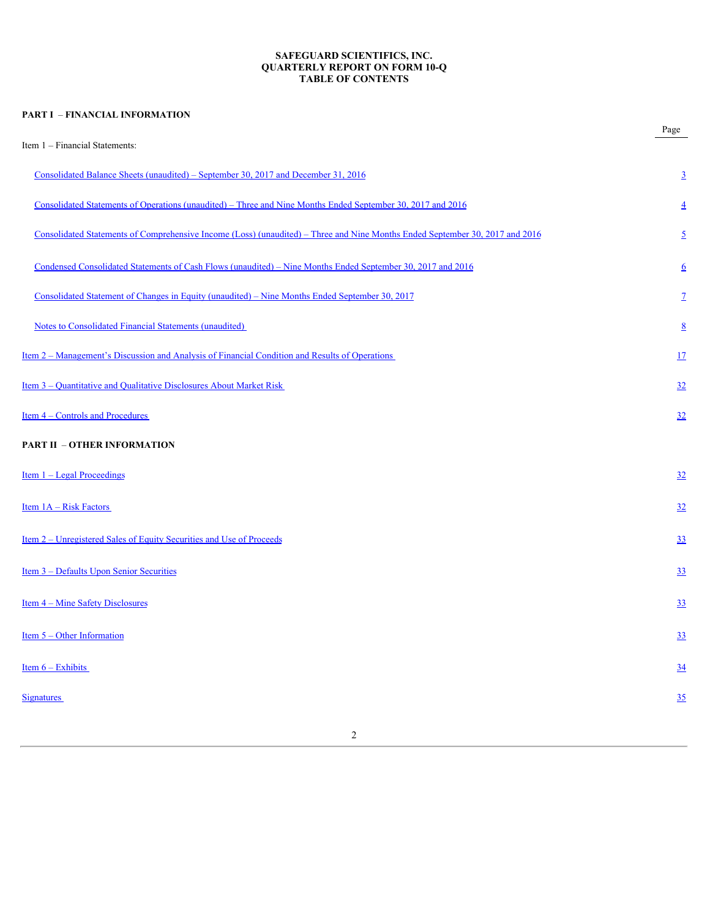## **SAFEGUARD SCIENTIFICS, INC. QUARTERLY REPORT ON FORM 10-Q TABLE OF CONTENTS**

| <b>PART I - FINANCIAL INFORMATION</b>                                                                                        |                  |
|------------------------------------------------------------------------------------------------------------------------------|------------------|
| Item 1 - Financial Statements:                                                                                               | Page             |
| Consolidated Balance Sheets (unaudited) – September 30, 2017 and December 31, 2016                                           | $\overline{3}$   |
| Consolidated Statements of Operations (unaudited) – Three and Nine Months Ended September 30, 2017 and 2016                  | $\overline{4}$   |
| Consolidated Statements of Comprehensive Income (Loss) (unaudited) – Three and Nine Months Ended September 30, 2017 and 2016 | $\overline{2}$   |
| Condensed Consolidated Statements of Cash Flows (unaudited) - Nine Months Ended September 30, 2017 and 2016                  | $6\overline{6}$  |
| Consolidated Statement of Changes in Equity (unaudited) – Nine Months Ended September 30, 2017                               | $\mathbf{Z}$     |
| <b>Notes to Consolidated Financial Statements (unaudited)</b>                                                                | $8\overline{8}$  |
| <u>Item 2 – Management's Discussion and Analysis of Financial Condition and Results of Operations</u>                        | 17               |
| <u>Item 3 – Quantitative and Qualitative Disclosures About Market Risk</u>                                                   | 32               |
| Item 4 - Controls and Procedures                                                                                             | 32               |
| <b>PART II - OTHER INFORMATION</b>                                                                                           |                  |
| Item 1 - Legal Proceedings                                                                                                   | 32               |
| Item 1A - Risk Factors                                                                                                       | 32               |
| <u>Item 2 – Unregistered Sales of Equity Securities and Use of Proceeds</u>                                                  | $\overline{33}$  |
| Item 3 - Defaults Upon Senior Securities                                                                                     | 33               |
| <u>Item 4 – Mine Safety Disclosures</u>                                                                                      | 33               |
| Item 5 - Other Information                                                                                                   | 33               |
| Item $6 -$ Exhibits                                                                                                          | $\underline{34}$ |
| <b>Signatures</b>                                                                                                            | 35               |
| 2                                                                                                                            |                  |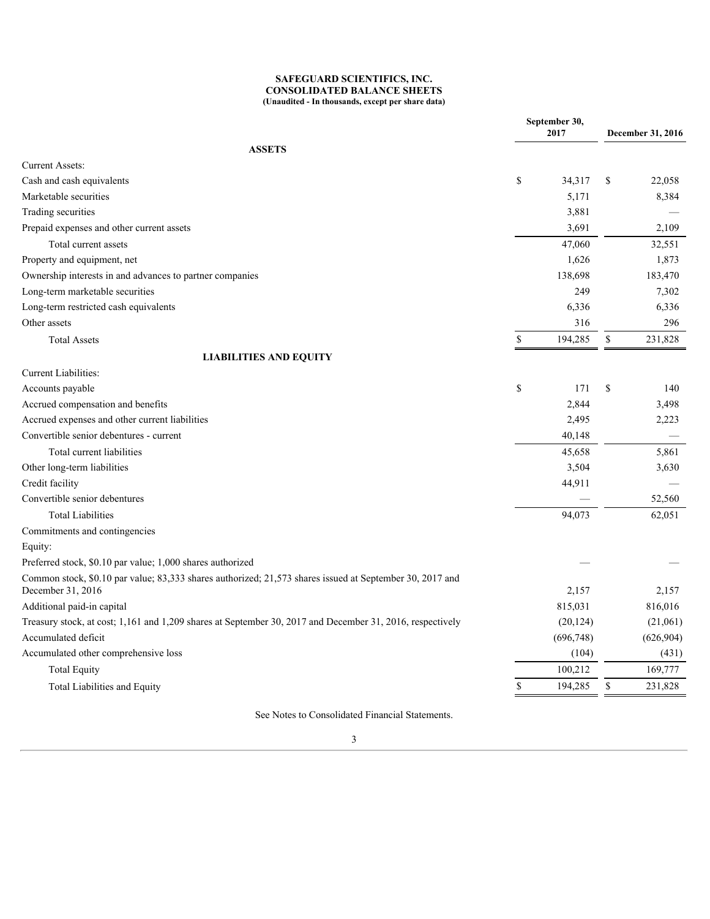#### **SAFEGUARD SCIENTIFICS, INC. CONSOLIDATED BALANCE SHEETS (Unaudited - In thousands, except per share data)**

<span id="page-2-0"></span>

|              |                          | December 31, 2016                                                                                                                                 |                                                                                                                        |  |
|--------------|--------------------------|---------------------------------------------------------------------------------------------------------------------------------------------------|------------------------------------------------------------------------------------------------------------------------|--|
|              |                          |                                                                                                                                                   |                                                                                                                        |  |
|              |                          |                                                                                                                                                   |                                                                                                                        |  |
|              |                          |                                                                                                                                                   | 22,058                                                                                                                 |  |
|              |                          |                                                                                                                                                   | 8,384                                                                                                                  |  |
|              |                          |                                                                                                                                                   | $\overline{\phantom{a}}$                                                                                               |  |
|              |                          |                                                                                                                                                   | 2,109                                                                                                                  |  |
|              |                          |                                                                                                                                                   |                                                                                                                        |  |
|              |                          |                                                                                                                                                   | 32,551                                                                                                                 |  |
|              |                          |                                                                                                                                                   | 1,873                                                                                                                  |  |
|              |                          |                                                                                                                                                   | 183,470                                                                                                                |  |
|              |                          |                                                                                                                                                   | 7,302                                                                                                                  |  |
|              |                          |                                                                                                                                                   | 6,336                                                                                                                  |  |
|              |                          |                                                                                                                                                   | 296                                                                                                                    |  |
| \$           |                          | $\mathbb{S}$                                                                                                                                      | 231,828                                                                                                                |  |
|              |                          |                                                                                                                                                   |                                                                                                                        |  |
|              |                          |                                                                                                                                                   |                                                                                                                        |  |
| $\mathbb{S}$ |                          |                                                                                                                                                   | 140                                                                                                                    |  |
|              | 2,844                    |                                                                                                                                                   | 3,498                                                                                                                  |  |
|              | 2,495                    |                                                                                                                                                   | 2,223                                                                                                                  |  |
|              | 40,148                   |                                                                                                                                                   | $\overline{\phantom{m}}$                                                                                               |  |
|              |                          |                                                                                                                                                   | 5,861                                                                                                                  |  |
|              |                          |                                                                                                                                                   | 3,630                                                                                                                  |  |
|              |                          |                                                                                                                                                   |                                                                                                                        |  |
|              | $\overline{\phantom{m}}$ |                                                                                                                                                   | 52,560                                                                                                                 |  |
|              |                          |                                                                                                                                                   | 62,051                                                                                                                 |  |
|              |                          |                                                                                                                                                   |                                                                                                                        |  |
|              |                          |                                                                                                                                                   |                                                                                                                        |  |
|              |                          |                                                                                                                                                   |                                                                                                                        |  |
|              |                          |                                                                                                                                                   |                                                                                                                        |  |
|              |                          |                                                                                                                                                   | 2,157                                                                                                                  |  |
|              |                          |                                                                                                                                                   | 816,016                                                                                                                |  |
|              |                          |                                                                                                                                                   | (21,061)                                                                                                               |  |
|              |                          |                                                                                                                                                   | (626, 904)                                                                                                             |  |
|              |                          |                                                                                                                                                   | (431)                                                                                                                  |  |
|              |                          |                                                                                                                                                   | 169,777                                                                                                                |  |
|              |                          |                                                                                                                                                   |                                                                                                                        |  |
|              |                          |                                                                                                                                                   | 231,828                                                                                                                |  |
|              | $\mathbb{S}$             | September 30,<br>2017<br>5,171<br>3,881<br>3,691<br>47,060<br>1,626<br>138,698<br>249<br>3,504<br>44,911<br>94,073<br>2,157<br>815,031<br>100,212 | 34,317 \$<br>6,336<br>316<br>194,285<br>171S<br>45,658<br>(20, 124)<br>(696, 748)<br>(104)<br>194,285<br><sup>\$</sup> |  |

See Notes to Consolidated Financial Statements.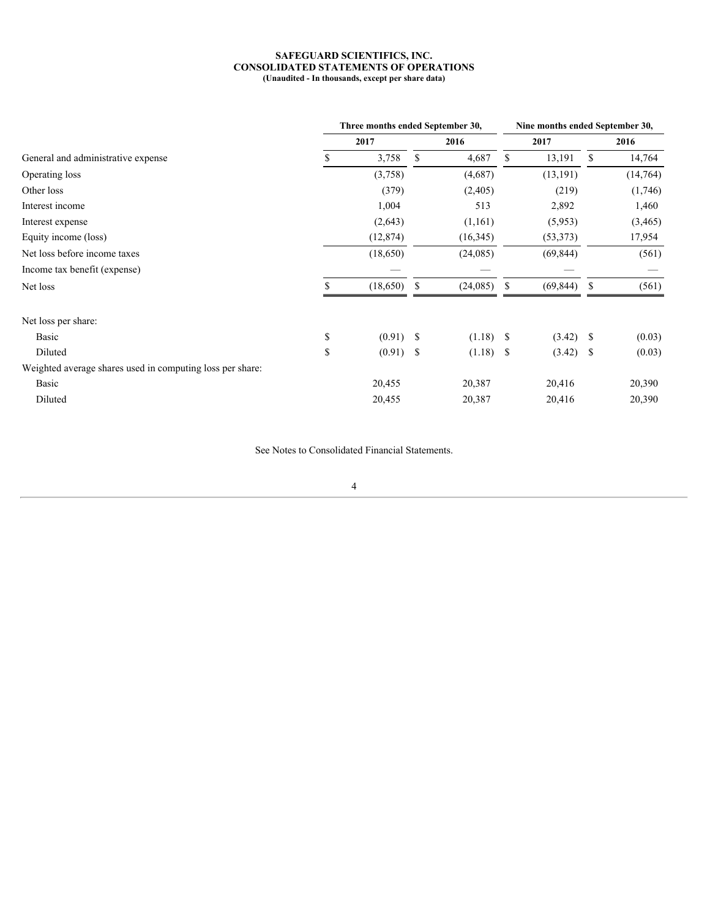#### **SAFEGUARD SCIENTIFICS, INC. CONSOLIDATED STATEMENTS OF OPERATIONS (Unaudited - In thousands, except per share data)**

<span id="page-3-0"></span>

|                                                           |               | Three months ended September 30, |      |                          | Nine months ended September 30, |                          |      |                               |  |
|-----------------------------------------------------------|---------------|----------------------------------|------|--------------------------|---------------------------------|--------------------------|------|-------------------------------|--|
|                                                           |               | 2017                             |      | 2016                     |                                 | 2017                     |      | 2016                          |  |
| General and administrative expense                        |               | 3,758                            | - \$ | 4,687                    | -S                              | 13,191                   | - \$ | 14,764                        |  |
| Operating loss                                            |               | (3,758)                          |      | (4,687)                  |                                 | (13, 191)                |      | (14,764)                      |  |
| Other loss                                                |               | (379)                            |      | (2,405)                  |                                 | (219)                    |      | (1,746)                       |  |
| Interest income                                           |               | 1,004                            |      | 513                      |                                 | 2,892                    |      | 1,460                         |  |
| Interest expense                                          |               | (2,643)                          |      | (1,161)                  |                                 | (5,953)                  |      | (3, 465)                      |  |
| Equity income (loss)                                      |               | (12, 874)                        |      | (16,345)                 |                                 | (53, 373)                |      | 17,954                        |  |
| Net loss before income taxes                              |               | (18,650)                         |      | (24,085)                 |                                 | (69, 844)                |      | (561)                         |  |
| Income tax benefit (expense)                              |               | $\overbrace{\phantom{aaaaa}}$    |      | $\overline{\phantom{m}}$ |                                 | $\overline{\phantom{m}}$ |      | $\overbrace{\phantom{aaaaa}}$ |  |
| Net loss                                                  |               | (18,650)                         | - \$ | $(24,085)$ \$            |                                 | (69, 844)                | - S  | (561)                         |  |
| Net loss per share:                                       |               |                                  |      |                          |                                 |                          |      |                               |  |
| Basic                                                     | <sup>\$</sup> | $(0.91)$ \$                      |      | $(1.18)$ \$              |                                 | $(3.42)$ \$              |      | (0.03)                        |  |
| Diluted                                                   | <sup>\$</sup> | $(0.91)$ \$                      |      |                          |                                 |                          |      | (0.03)                        |  |
| Weighted average shares used in computing loss per share: |               |                                  |      |                          |                                 |                          |      |                               |  |
| Basic                                                     |               | 20,455                           |      | 20,387                   |                                 | 20,416                   |      | 20,390                        |  |
| Diluted                                                   |               | 20,455                           |      | 20,387                   |                                 | 20,416                   |      | 20,390                        |  |
|                                                           |               |                                  |      |                          |                                 |                          |      |                               |  |

See Notes to Consolidated Financial Statements.

4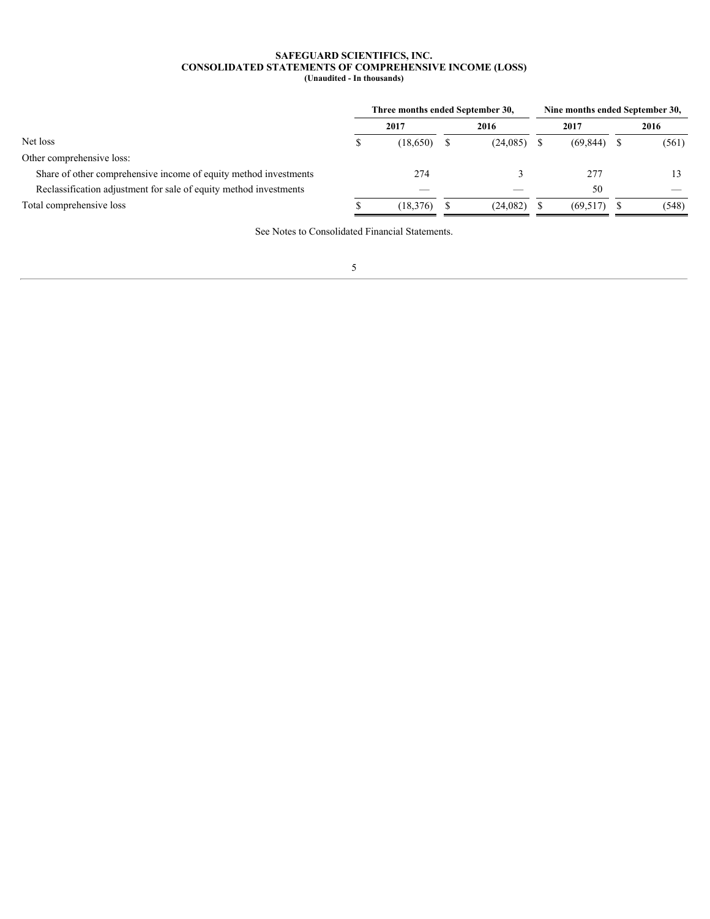#### **SAFEGUARD SCIENTIFICS, INC. CONSOLIDATED STATEMENTS OF COMPREHENSIVE INCOME (LOSS) (Unaudited - In thousands)**

<span id="page-4-0"></span>

|                                                                   | Three months ended September 30, |  |                          | Nine months ended September 30, |                          |  |  |  |  |
|-------------------------------------------------------------------|----------------------------------|--|--------------------------|---------------------------------|--------------------------|--|--|--|--|
|                                                                   | 2017                             |  | 2016                     | 2017                            | 2016                     |  |  |  |  |
| Net loss                                                          | (18,650)                         |  | (24,085)                 | $(69,844)$ \$                   | (561)                    |  |  |  |  |
| Other comprehensive loss:                                         |                                  |  |                          |                                 |                          |  |  |  |  |
| Share of other comprehensive income of equity method investments  | 274                              |  |                          | 277                             |                          |  |  |  |  |
| Reclassification adjustment for sale of equity method investments | $\hspace{0.1mm}-\hspace{0.1mm}$  |  | $\overline{\phantom{m}}$ | 50                              | $\overline{\phantom{m}}$ |  |  |  |  |
| Total comprehensive loss                                          | (18,376)                         |  | (24,082)                 | $(69,517)$ \$                   | (548)                    |  |  |  |  |
|                                                                   |                                  |  |                          |                                 |                          |  |  |  |  |

See Notes to Consolidated Financial Statements.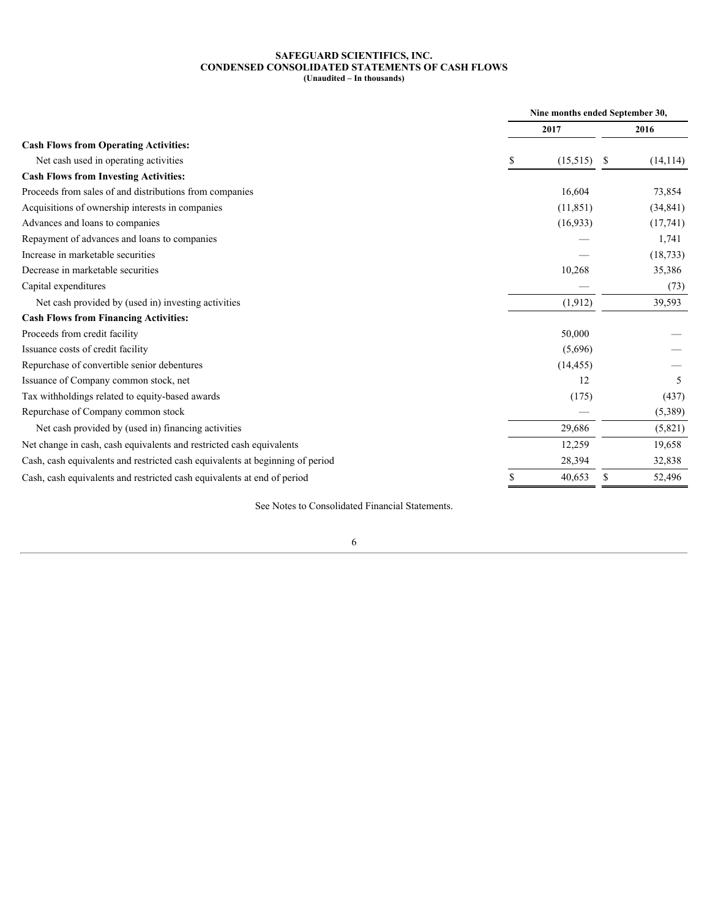#### **SAFEGUARD SCIENTIFICS, INC. CONDENSED CONSOLIDATED STATEMENTS OF CASH FLOWS (Unaudited – In thousands)**

<span id="page-5-0"></span>

|                                                                               |  |                   | Nine months ended September 30, |           |  |
|-------------------------------------------------------------------------------|--|-------------------|---------------------------------|-----------|--|
|                                                                               |  | 2017              |                                 | 2016      |  |
| <b>Cash Flows from Operating Activities:</b>                                  |  |                   |                                 |           |  |
| Net cash used in operating activities                                         |  | $(15,515)$ \$     |                                 | (14, 114) |  |
| <b>Cash Flows from Investing Activities:</b>                                  |  |                   |                                 |           |  |
| Proceeds from sales of and distributions from companies                       |  | 16,604            |                                 | 73,854    |  |
| Acquisitions of ownership interests in companies                              |  | (11, 851)         |                                 | (34, 841) |  |
| Advances and loans to companies                                               |  | (16,933)          |                                 | (17,741)  |  |
| Repayment of advances and loans to companies                                  |  |                   |                                 | 1,741     |  |
| Increase in marketable securities                                             |  |                   |                                 | (18, 733) |  |
| Decrease in marketable securities                                             |  | 10,268            |                                 | 35,386    |  |
| Capital expenditures                                                          |  | $\hspace{0.05cm}$ |                                 | (73)      |  |
| Net cash provided by (used in) investing activities                           |  | (1, 912)          |                                 | 39,593    |  |
| <b>Cash Flows from Financing Activities:</b>                                  |  |                   |                                 |           |  |
| Proceeds from credit facility                                                 |  | 50,000            |                                 |           |  |
| Issuance costs of credit facility                                             |  | (5,696)           |                                 |           |  |
| Repurchase of convertible senior debentures                                   |  | (14, 455)         |                                 |           |  |
| Issuance of Company common stock, net                                         |  | 12                |                                 |           |  |
| Tax withholdings related to equity-based awards                               |  | (175)             |                                 | (437)     |  |
| Repurchase of Company common stock                                            |  | $\hspace{0.05cm}$ |                                 | (5,389)   |  |
| Net cash provided by (used in) financing activities                           |  | 29,686            |                                 | (5,821)   |  |
| Net change in cash, cash equivalents and restricted cash equivalents          |  | 12,259            |                                 | 19,658    |  |
| Cash, cash equivalents and restricted cash equivalents at beginning of period |  | 28,394            |                                 | 32,838    |  |
| Cash, cash equivalents and restricted cash equivalents at end of period       |  | 40,653            | - \$                            | 52,496    |  |

See Notes to Consolidated Financial Statements.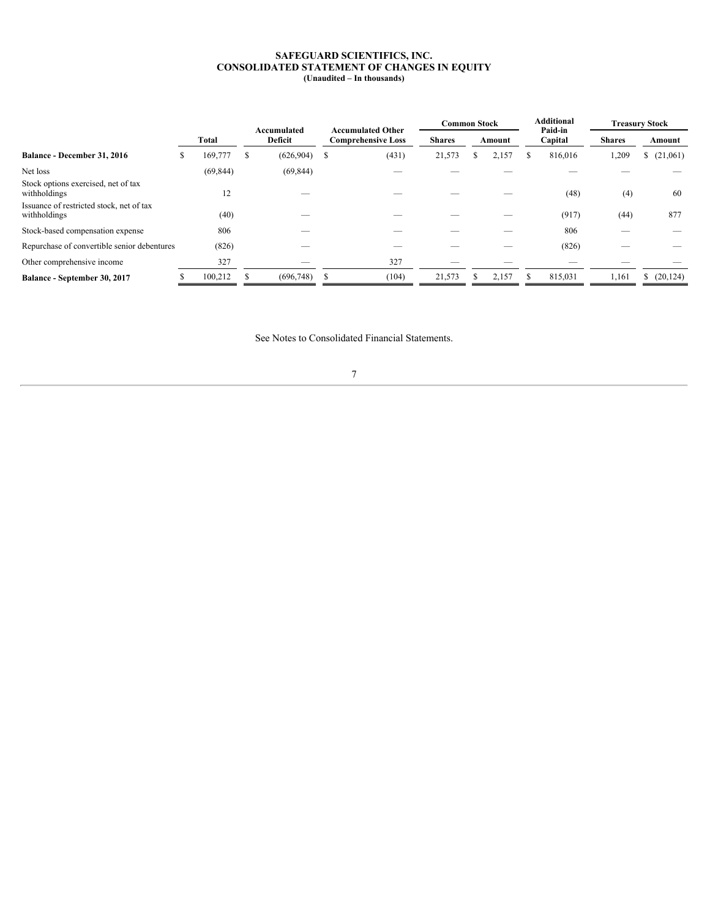#### **SAFEGUARD SCIENTIFICS, INC. CONSOLIDATED STATEMENT OF CHANGES IN EQUITY (Unaudited – In thousands)**

<span id="page-6-0"></span>

|                                                          |              |                        |                                                       |  | <b>Common Stock</b><br><b>Shares</b><br>Amount |  |                                 | Additional    |         | <b>Treasury Stock</b>    |           |
|----------------------------------------------------------|--------------|------------------------|-------------------------------------------------------|--|------------------------------------------------|--|---------------------------------|---------------|---------|--------------------------|-----------|
|                                                          | <b>Total</b> | Accumulated<br>Deficit | <b>Accumulated Other</b><br><b>Comprehensive Loss</b> |  |                                                |  | Paid-in<br>Capital              | <b>Shares</b> | Amount  |                          |           |
| Balance - December 31, 2016                              | 169,777      | $(626,904)$ \$         | (431)                                                 |  | 21,573                                         |  | 2,157                           |               | 816,016 | 1,209                    | (21,061)  |
| Net loss                                                 | (69, 844)    | (69, 844)              | $\overbrace{\phantom{12332}}$                         |  | $\overbrace{\hspace{25mm}}^{}$                 |  |                                 |               |         |                          |           |
| Stock options exercised, net of tax<br>withholdings      | 12           |                        | $\overbrace{\hspace{25mm}}^{}$                        |  | $\overbrace{\phantom{12332}}$                  |  |                                 |               | (48)    | (4)                      | 60        |
| Issuance of restricted stock, net of tax<br>withholdings | (40)         |                        | --                                                    |  | $\overbrace{\phantom{12332}}$                  |  |                                 |               | (917)   | (44)                     | 877       |
| Stock-based compensation expense                         | 806          | _                      |                                                       |  |                                                |  | $\overline{\phantom{a}}$        |               | 806     | $\overline{\phantom{a}}$ |           |
| Repurchase of convertible senior debentures              | (826)        |                        | $\overbrace{\hspace{25mm}}^{}$                        |  | $\overbrace{\phantom{12332}}$                  |  |                                 |               | (826)   |                          |           |
| Other comprehensive income                               | 327          | $\hspace{0.05cm}$      | 327                                                   |  | $\hspace{0.05cm}$                              |  | $\hspace{0.1mm}-\hspace{0.1mm}$ |               |         |                          |           |
| Balance - September 30, 2017                             | 100,212      | $(696,748)$ \$         | (104)                                                 |  | 21,573                                         |  | 2,157                           |               | 815,031 | 1,161                    | (20, 124) |

See Notes to Consolidated Financial Statements.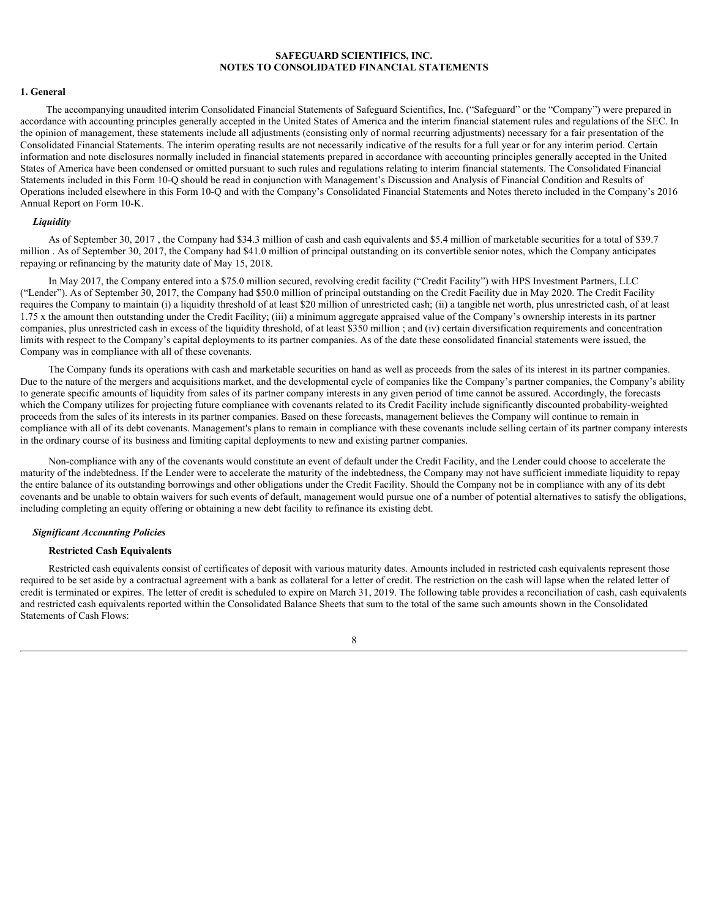#### <span id="page-7-0"></span>**1. General**

The accompanying unaudited interim Consolidated Financial Statements of Safeguard Scientifics, Inc. ("Safeguard" or the "Company") were prepared in accordance with accounting principles generally accepted in the United States of America and the interim financial statement rules and regulations of the SEC. In the opinion of management, these statements include all adjustments (consisting only of normal recurring adjustments) necessary for a fair presentation of the Consolidated Financial Statements. The interim operating results are not necessarily indicative of the results for a full year or for any interim period. Certain information and note disclosures normally included in financial statements prepared in accordance with accounting principles generally accepted in the United States of America have been condensed or omitted pursuant to such rules and regulations relating to interim financial statements. The Consolidated Financial Statements included in this Form 10-Q should be read in conjunction with Management's Discussion and Analysis of Financial Condition and Results of Operations included elsewhere in this Form 10-Q and with the Company's Consolidated Financial Statements and Notes thereto included in the Company's 2016 Annual Report on Form 10-K.

## *Liquidity*

As of September 30, 2017, the Company had \$34.3 million of cash and cash equivalents and \$5.4 million of marketable securities for a total of \$39.7 million . As of September 30, 2017, the Company had \$41.0 million of principal outstanding on its convertible senior notes, which the Company anticipates repaying or refinancing by the maturity date of May 15, 2018.

In May 2017, the Company entered into a \$75.0 million secured, revolving credit facility ("Credit Facility") with HPS Investment Partners, LLC ("Lender"). As of September 30, 2017, the Company had \$50.0 million of principal outstanding on the Credit Facility due in May 2020. The Credit Facility requires the Company to maintain (i) a liquidity threshold of at least \$20 million of unrestricted cash; (ii) a tangible net worth, plus unrestricted cash, of at least 1.75 x the amount then outstanding under the Credit Facility; (iii) a minimum aggregate appraised value of the Company's ownership interests in its partner companies, plus unrestricted cash in excess of the liquidity threshold, of at least \$350 million ; and (iv) certain diversification requirements and concentration limits with respect to the Company's capital deployments to its partner companies. As of the date these consolidated financial statements were issued, the Company was in compliance with all of these covenants.

The Company funds its operations with cash and marketable securities on hand as well as proceeds from the sales of its interest in its partner companies. Due to the nature of the mergers and acquisitions market, and the developmental cycle of companies like the Company's partner companies, the Company's ability to generate specific amounts of liquidity from sales of its partner company interests in any given period of time cannot be assured. Accordingly, the forecasts which the Company utilizes for projecting future compliance with covenants related to its Credit Facility include significantly discounted probability-weighted proceeds from the sales of its interests in its partner companies. Based on these forecasts, management believes the Company will continue to remain in compliance with all of its debt covenants. Management's plans to remain in compliance with these covenants include selling certain of its partner company interests in the ordinary course of its business and limiting capital deployments to new and existing partner companies.

Non-compliance with any of the covenants would constitute an event of default under the Credit Facility, and the Lender could choose to accelerate the maturity of the indebtedness. If the Lender were to accelerate the maturity of the indebtedness, the Company may not have sufficient immediate liquidity to repay the entire balance of its outstanding borrowings and other obligations under the Credit Facility. Should the Company not be in compliance with any of its debt covenants and be unable to obtain waivers for such events of default, management would pursue one of a number of potential alternatives to satisfy the obligations, including completing an equity offering or obtaining a new debt facility to refinance its existing debt.

#### *Significant Accounting Policies*

#### **Restricted Cash Equivalents**

Restricted cash equivalents consist of certificates of deposit with various maturity dates. Amounts included in restricted cash equivalents represent those required to be set aside by a contractual agreement with a bank as collateral for a letter of credit. The restriction on the cash will lapse when the related letter of credit is terminated or expires. The letter of credit is scheduled to expire on March 31, 2019. The following table provides a reconciliation of cash, cash equivalents and restricted cash equivalents reported within the Consolidated Balance Sheets that sum to the total of the same such amounts shown in the Consolidated Statements of Cash Flows: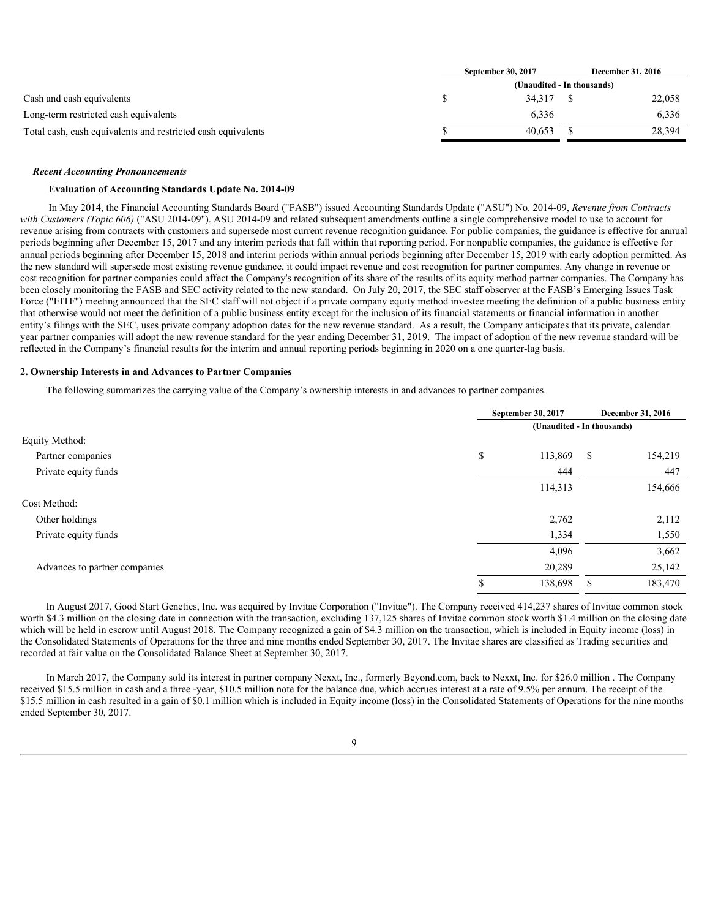|                                                              | September 30, 2017         |  | December 31, 2016 |  |  |  |  |  |  |
|--------------------------------------------------------------|----------------------------|--|-------------------|--|--|--|--|--|--|
|                                                              | (Unaudited - In thousands) |  |                   |  |  |  |  |  |  |
| Cash and cash equivalents                                    | 34.317                     |  | 22,058            |  |  |  |  |  |  |
| Long-term restricted cash equivalents                        | 6,336                      |  | 6,336             |  |  |  |  |  |  |
| Total cash, cash equivalents and restricted cash equivalents | 40.653                     |  | 28,394            |  |  |  |  |  |  |
|                                                              |                            |  |                   |  |  |  |  |  |  |

#### *Recent Accounting Pronouncements*

# **Evaluation of Accounting Standards Update No. 2014-09**

In May 2014, the Financial Accounting Standards Board ("FASB") issued Accounting Standards Update ("ASU") No. 2014-09, *Revenue from Contracts with Customers (Topic 606)* ("ASU 2014-09"). ASU 2014-09 and related subsequent amendments outline a single comprehensive model to use to account for revenue arising from contracts with customers and supersede most current revenue recognition guidance. For public companies, the guidance is effective for annual periods beginning after December 15, 2017 and any interim periods that fall within that reporting period. For nonpublic companies, the guidance is effective for annual periods beginning after December 15, 2018 and interim periods within annual periods beginning after December 15, 2019 with early adoption permitted. As the new standard will supersede most existing revenue guidance, it could impact revenue and cost recognition for partner companies. Any change in revenue or cost recognition for partner companies could affect the Company's recognition of its share of the results of its equity method partner companies. The Company has been closely monitoring the FASB and SEC activity related to the new standard. On July 20, 2017, the SEC staff observer at the FASB's Emerging Issues Task Force ("EITF") meeting announced that the SEC staff will not object if a private company equity method investee meeting the definition of a public business entity that otherwise would not meet the definition of a public business entity except for the inclusion of its financial statements or financial information in another entity's filings with the SEC, uses private company adoption dates for the new revenue standard. As a result, the Company anticipates that its private, calendar year partner companies will adopt the new revenue standard for the year ending December 31, 2019. The impact of adoption of the new revenue standard will be reflected in the Company's financial results for the interim and annual reporting periods beginning in 2020 on a one quarter-lag basis.

#### **2. Ownership Interests in and Advances to Partner Companies**

The following summarizes the carrying value of the Company's ownership interests in and advances to partner companies.

|                               |                            | September 30, 2017 | <b>December 31, 2016</b> |         |  |  |  |
|-------------------------------|----------------------------|--------------------|--------------------------|---------|--|--|--|
|                               | (Unaudited - In thousands) |                    |                          |         |  |  |  |
| Equity Method:                |                            |                    |                          |         |  |  |  |
| Partner companies             | \$                         | 113,869            | - \$                     | 154,219 |  |  |  |
| Private equity funds          |                            | 444                |                          | 447     |  |  |  |
|                               |                            | 114,313            |                          | 154,666 |  |  |  |
| Cost Method:                  |                            |                    |                          |         |  |  |  |
| Other holdings                |                            | 2,762              |                          | 2,112   |  |  |  |
| Private equity funds          |                            | 1,334              |                          | 1,550   |  |  |  |
|                               |                            | 4,096              |                          | 3,662   |  |  |  |
| Advances to partner companies |                            | 20,289             |                          | 25,142  |  |  |  |
|                               |                            | 138,698            | - \$                     | 183,470 |  |  |  |

In August 2017, Good Start Genetics, Inc. was acquired by Invitae Corporation ("Invitae"). The Company received 414,237 shares of Invitae common stock worth \$4.3 million on the closing date in connection with the transaction, excluding 137,125 shares of Invitae common stock worth \$1.4 million on the closing date which will be held in escrow until August 2018. The Company recognized a gain of \$4.3 million on the transaction, which is included in Equity income (loss) in the Consolidated Statements of Operations for the three and nine months ended September 30, 2017. The Invitae shares are classified as Trading securities and recorded at fair value on the Consolidated Balance Sheet at September 30, 2017.

In March 2017, the Company sold its interest in partner company Nexxt, Inc., formerly Beyond.com, back to Nexxt, Inc. for \$26.0 million . The Company received \$15.5 million in cash and a three -year, \$10.5 million note for the balance due, which accrues interest at a rate of 9.5% per annum. The receipt of the \$15.5 million in cash resulted in a gain of \$0.1 million which is included in Equity income (loss) in the Consolidated Statements of Operations for the nine months ended September 30, 2017.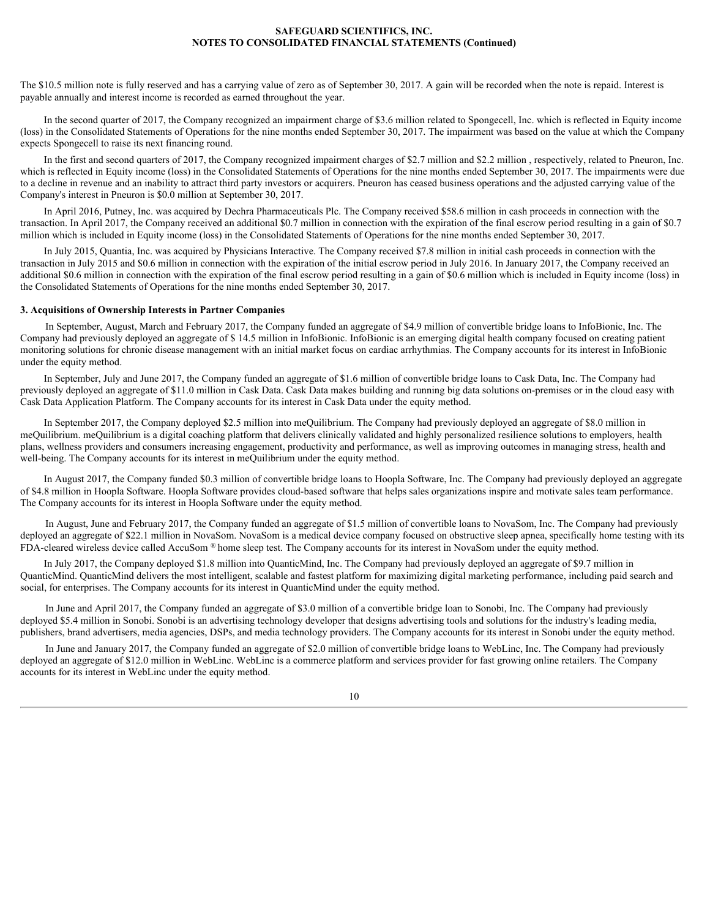The \$10.5 million note is fully reserved and has a carrying value of zero as of September 30, 2017. A gain will be recorded when the note is repaid. Interest is payable annually and interest income is recorded as earned throughout the year.

In the second quarter of 2017, the Company recognized an impairment charge of \$3.6 million related to Spongecell, Inc. which is reflected in Equity income (loss) in the Consolidated Statements of Operations for the nine months ended September 30, 2017. The impairment was based on the value at which the Company expects Spongecell to raise its next financing round.

In the first and second quarters of 2017, the Company recognized impairment charges of \$2.7 million and \$2.2 million, respectively, related to Pneuron, Inc. which is reflected in Equity income (loss) in the Consolidated Statements of Operations for the nine months ended September 30, 2017. The impairments were due to a decline in revenue and an inability to attract third party investors or acquirers. Pneuron has ceased business operations and the adjusted carrying value of the Company's interest in Pneuron is \$0.0 million at September 30, 2017.

In April 2016, Putney, Inc. was acquired by Dechra Pharmaceuticals Plc. The Company received \$58.6 million in cash proceeds in connection with the transaction. In April 2017, the Company received an additional \$0.7 million in connection with the expiration of the final escrow period resulting in a gain of \$0.7 million which is included in Equity income (loss) in the Consolidated Statements of Operations for the nine months ended September 30, 2017.

In July 2015, Quantia, Inc. was acquired by Physicians Interactive. The Company received \$7.8 million in initial cash proceeds in connection with the transaction in July 2015 and \$0.6 million in connection with the expiration of the initial escrow period in July 2016. In January 2017, the Company received an additional \$0.6 million in connection with the expiration of the final escrow period resulting in a gain of \$0.6 million which is included in Equity income (loss) in the Consolidated Statements of Operations for the nine months ended September 30, 2017.

#### **3. Acquisitions of Ownership Interests in Partner Companies**

In September, August, March and February 2017, the Company funded an aggregate of \$4.9 million of convertible bridge loans to InfoBionic, Inc. The Company had previously deployed an aggregate of \$ 14.5 million in InfoBionic. InfoBionic is an emerging digital health company focused on creating patient monitoring solutions for chronic disease management with an initial market focus on cardiac arrhythmias. The Company accounts for its interest in InfoBionic under the equity method.

In September, July and June 2017, the Company funded an aggregate of \$1.6 million of convertible bridge loans to Cask Data, Inc. The Company had previously deployed an aggregate of \$11.0 million in Cask Data. Cask Data makes building and running big data solutions on-premises or in the cloud easy with Cask Data Application Platform. The Company accounts for its interest in Cask Data under the equity method.

In September 2017, the Company deployed \$2.5 million into meQuilibrium. The Company had previously deployed an aggregate of \$8.0 million in meQuilibrium. meQuilibrium is a digital coaching platform that delivers clinically validated and highly personalized resilience solutions to employers, health plans, wellness providers and consumers increasing engagement, productivity and performance, as well as improving outcomes in managing stress, health and well-being. The Company accounts for its interest in meQuilibrium under the equity method.

In August 2017, the Company funded \$0.3 million of convertible bridge loans to Hoopla Software, Inc. The Company had previously deployed an aggregate of \$4.8 million in Hoopla Software. Hoopla Software provides cloud-based software that helps sales organizations inspire and motivate sales team performance. The Company accounts for its interest in Hoopla Software under the equity method.

In August, June and February 2017, the Company funded an aggregate of \$1.5 million of convertible loans to NovaSom, Inc. The Company had previously deployed an aggregate of \$22.1 million in NovaSom. NovaSom is a medical device company focused on obstructive sleep apnea, specifically home testing with its FDA-cleared wireless device called AccuSom ® home sleep test. The Company accounts for its interest in NovaSom under the equity method.

In July 2017, the Company deployed \$1.8 million into QuanticMind, Inc. The Company had previously deployed an aggregate of \$9.7 million in QuanticMind. QuanticMind delivers the most intelligent, scalable and fastest platform for maximizing digital marketing performance, including paid search and social, for enterprises. The Company accounts for its interest in QuanticMind under the equity method.

In June and April 2017, the Company funded an aggregate of \$3.0 million of a convertible bridge loan to Sonobi, Inc. The Company had previously deployed \$5.4 million in Sonobi. Sonobi is an advertising technology developer that designs advertising tools and solutions for the industry's leading media, publishers, brand advertisers, media agencies, DSPs, and media technology providers. The Company accounts for its interest in Sonobi under the equity method.

In June and January 2017, the Company funded an aggregate of \$2.0 million of convertible bridge loans to WebLinc, Inc. The Company had previously deployed an aggregate of \$12.0 million in WebLinc. WebLinc is a commerce platform and services provider for fast growing online retailers. The Company accounts for its interest in WebLinc under the equity method.

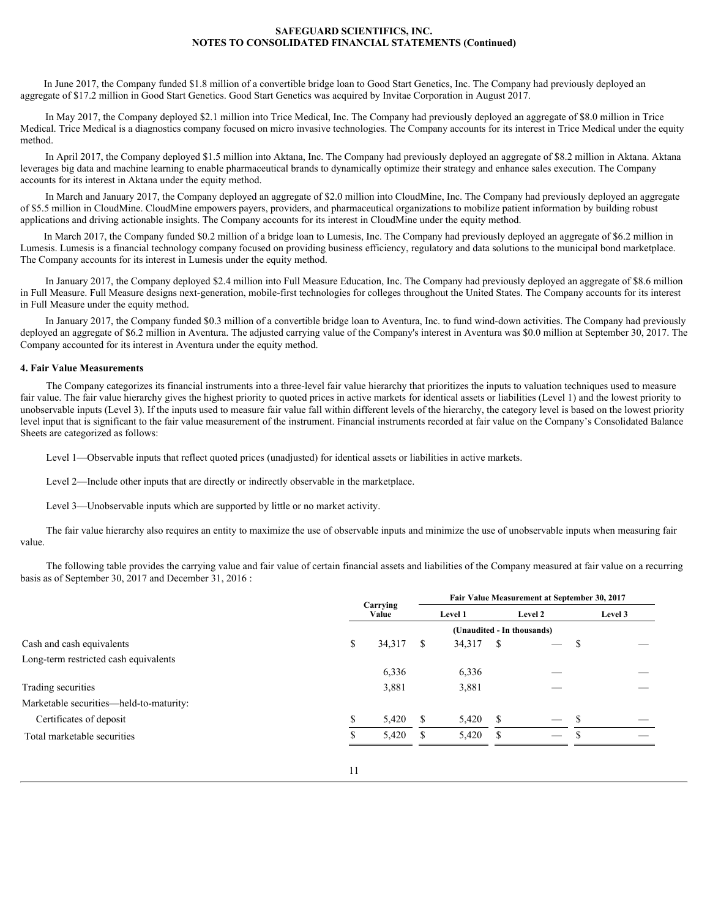In June 2017, the Company funded \$1.8 million of a convertible bridge loan to Good Start Genetics, Inc. The Company had previously deployed an aggregate of \$17.2 million in Good Start Genetics. Good Start Genetics was acquired by Invitae Corporation in August 2017.

In May 2017, the Company deployed \$2.1 million into Trice Medical, Inc. The Company had previously deployed an aggregate of \$8.0 million in Trice Medical. Trice Medical is a diagnostics company focused on micro invasive technologies. The Company accounts for its interest in Trice Medical under the equity method.

In April 2017, the Company deployed \$1.5 million into Aktana, Inc. The Company had previously deployed an aggregate of \$8.2 million in Aktana. Aktana leverages big data and machine learning to enable pharmaceutical brands to dynamically optimize their strategy and enhance sales execution. The Company accounts for its interest in Aktana under the equity method.

In March and January 2017, the Company deployed an aggregate of \$2.0 million into CloudMine, Inc. The Company had previously deployed an aggregate of \$5.5 million in CloudMine. CloudMine empowers payers, providers, and pharmaceutical organizations to mobilize patient information by building robust applications and driving actionable insights. The Company accounts for its interest in CloudMine under the equity method.

In March 2017, the Company funded \$0.2 million of a bridge loan to Lumesis, Inc. The Company had previously deployed an aggregate of \$6.2 million in Lumesis. Lumesis is a financial technology company focused on providing business efficiency, regulatory and data solutions to the municipal bond marketplace. The Company accounts for its interest in Lumesis under the equity method.

In January 2017, the Company deployed \$2.4 million into Full Measure Education, Inc. The Company had previously deployed an aggregate of \$8.6 million in Full Measure. Full Measure designs next-generation, mobile-first technologies for colleges throughout the United States. The Company accounts for its interest in Full Measure under the equity method.

In January 2017, the Company funded \$0.3 million of a convertible bridge loan to Aventura, Inc. to fund wind-down activities. The Company had previously deployed an aggregate of \$6.2 million in Aventura. The adjusted carrying value of the Company's interest in Aventura was \$0.0 million at September 30, 2017. The Company accounted for its interest in Aventura under the equity method.

#### **4. Fair Value Measurements**

The Company categorizes its financial instruments into a three-level fair value hierarchy that prioritizes the inputs to valuation techniques used to measure fair value. The fair value hierarchy gives the highest priority to quoted prices in active markets for identical assets or liabilities (Level 1) and the lowest priority to unobservable inputs (Level 3). If the inputs used to measure fair value fall within different levels of the hierarchy, the category level is based on the lowest priority level input that is significant to the fair value measurement of the instrument. Financial instruments recorded at fair value on the Company's Consolidated Balance Sheets are categorized as follows:

Level 1—Observable inputs that reflect quoted prices (unadjusted) for identical assets or liabilities in active markets.

Level 2—Include other inputs that are directly or indirectly observable in the marketplace.

Level 3—Unobservable inputs which are supported by little or no market activity.

The fair value hierarchy also requires an entity to maximize the use of observable inputs and minimize the use of unobservable inputs when measuring fair value.

The following table provides the carrying value and fair value of certain financial assets and liabilities of the Company measured at fair value on a recurring basis as of September 30, 2017 and December 31, 2016 :

|                                         |                   | Fair Value Measurement at September 30, 2017 |                            |               |                          |         |                                 |  |  |  |
|-----------------------------------------|-------------------|----------------------------------------------|----------------------------|---------------|--------------------------|---------|---------------------------------|--|--|--|
|                                         | Carrying<br>Value |                                              | Level 1                    |               | Level 2                  | Level 3 |                                 |  |  |  |
|                                         |                   |                                              | (Unaudited - In thousands) |               |                          |         |                                 |  |  |  |
| Cash and cash equivalents               | 34,317 \$         |                                              | 34,317 \$                  |               | $\overline{\phantom{m}}$ |         | $\hspace{0.1mm}-\hspace{0.1mm}$ |  |  |  |
| Long-term restricted cash equivalents   |                   |                                              |                            |               |                          |         |                                 |  |  |  |
|                                         | 6,336             |                                              | 6,336                      |               | $\overline{\phantom{0}}$ |         | $\overline{\phantom{0}}$        |  |  |  |
| Trading securities                      | 3,881             |                                              | 3,881                      |               | $\overline{\phantom{0}}$ |         | $\hspace{0.1mm}-\hspace{0.1mm}$ |  |  |  |
| Marketable securities—held-to-maturity: |                   |                                              |                            |               |                          |         |                                 |  |  |  |
| Certificates of deposit                 | $5,420$ \$        |                                              | 5,420                      | $\mathcal{S}$ | $\overline{\phantom{0}}$ |         | $\overline{\phantom{0}}$        |  |  |  |
| Total marketable securities             | $5,420$ \$        |                                              | 5,420                      |               |                          |         | $\hspace{0.1mm}-\hspace{0.1mm}$ |  |  |  |
|                                         |                   |                                              |                            |               |                          |         |                                 |  |  |  |
|                                         |                   |                                              |                            |               |                          |         |                                 |  |  |  |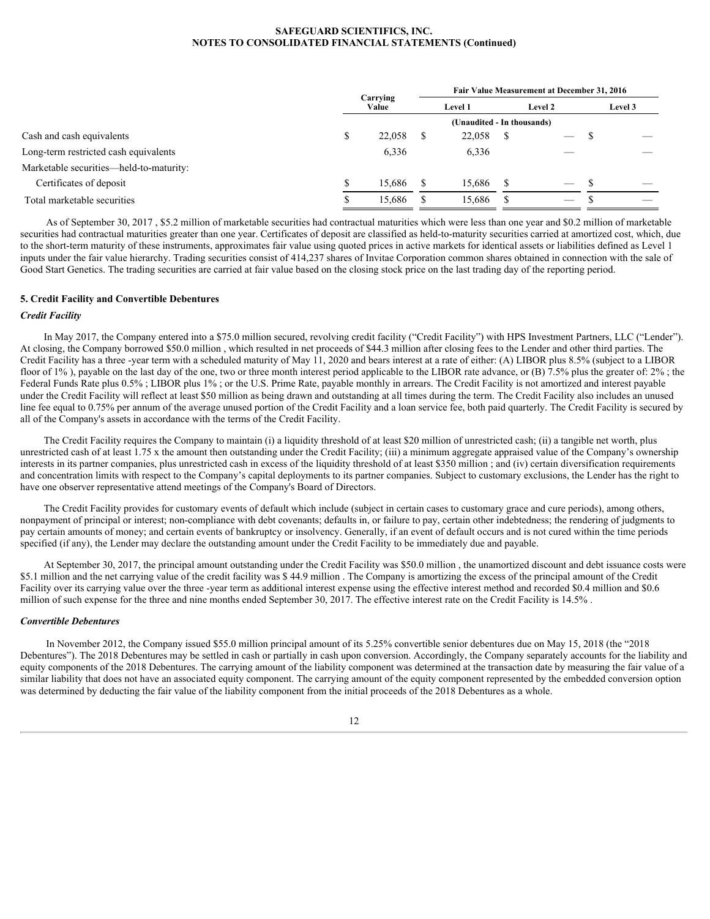|                                         | Carrying |     | Fair Value Measurement at December 31, 2016 |  |                                           |  |                          |  |  |  |  |
|-----------------------------------------|----------|-----|---------------------------------------------|--|-------------------------------------------|--|--------------------------|--|--|--|--|
|                                         | Value    |     | Level 1                                     |  | Level 2                                   |  | Level 3                  |  |  |  |  |
|                                         |          |     | (Unaudited - In thousands)                  |  |                                           |  |                          |  |  |  |  |
| Cash and cash equivalents               | 22,058   | . ა | 22,058                                      |  |                                           |  | $\overline{\phantom{m}}$ |  |  |  |  |
| Long-term restricted cash equivalents   | 6,336    |     | 6,336                                       |  |                                           |  | $\overline{\phantom{a}}$ |  |  |  |  |
| Marketable securities-held-to-maturity: |          |     |                                             |  |                                           |  |                          |  |  |  |  |
| Certificates of deposit                 | 15,686   |     | 15,686 \$                                   |  |                                           |  | $\overline{\phantom{a}}$ |  |  |  |  |
| Total marketable securities             | 15,686   |     | 15,686                                      |  | $\qquad \qquad \overline{\qquad \qquad }$ |  |                          |  |  |  |  |

As of September 30, 2017 , \$5.2 million of marketable securities had contractual maturities which were less than one year and \$0.2 million of marketable securities had contractual maturities greater than one year. Certificates of deposit are classified as held-to-maturity securities carried at amortized cost, which, due to the short-term maturity of these instruments, approximates fair value using quoted prices in active markets for identical assets or liabilities defined as Level 1 inputs under the fair value hierarchy. Trading securities consist of 414,237 shares of Invitae Corporation common shares obtained in connection with the sale of Good Start Genetics. The trading securities are carried at fair value based on the closing stock price on the last trading day of the reporting period.

# **5. Credit Facility and Convertible Debentures**

#### *Credit Facility*

In May 2017, the Company entered into a \$75.0 million secured, revolving credit facility ("Credit Facility") with HPS Investment Partners, LLC ("Lender"). At closing, the Company borrowed \$50.0 million , which resulted in net proceeds of \$44.3 million after closing fees to the Lender and other third parties. The Credit Facility has a three -year term with a scheduled maturity of May 11, 2020 and bears interest at a rate of either: (A) LIBOR plus 8.5% (subject to a LIBOR floor of 1%), payable on the last day of the one, two or three month interest period applicable to the LIBOR rate advance, or (B) 7.5% plus the greater of: 2%; the Federal Funds Rate plus 0.5%; LIBOR plus 1%; or the U.S. Prime Rate, payable monthly in arrears. The Credit Facility is not amortized and interest payable under the Credit Facility will reflect at least \$50 million as being drawn and outstanding at all times during the term. The Credit Facility also includes an unused line fee equal to 0.75% per annum of the average unused portion of the Credit Facility and a loan service fee, both paid quarterly. The Credit Facility is secured by all of the Company's assets in accordance with the terms of the Credit Facility.

The Credit Facility requires the Company to maintain (i) a liquidity threshold of at least \$20 million of unrestricted cash; (ii) a tangible net worth, plus unrestricted cash of at least 1.75 x the amount then outstanding under the Credit Facility; (iii) a minimum aggregate appraised value of the Company's ownership interests in its partner companies, plus unrestricted cash in excess of the liquidity threshold of at least \$350 million ; and (iv) certain diversification requirements and concentration limits with respect to the Company's capital deployments to its partner companies. Subject to customary exclusions, the Lender has the right to have one observer representative attend meetings of the Company's Board of Directors.

The Credit Facility provides for customary events of default which include (subject in certain cases to customary grace and cure periods), among others, nonpayment of principal or interest; non-compliance with debt covenants; defaults in, or failure to pay, certain other indebtedness; the rendering of judgments to pay certain amounts of money; and certain events of bankruptcy or insolvency. Generally, if an event of default occurs and is not cured within the time periods specified (if any), the Lender may declare the outstanding amount under the Credit Facility to be immediately due and payable.

At September 30, 2017, the principal amount outstanding under the Credit Facility was \$50.0 million , the unamortized discount and debt issuance costs were \$5.1 million and the net carrying value of the credit facility was \$44.9 million. The Company is amortizing the excess of the principal amount of the Credit Facility over its carrying value over the three -year term as additional interest expense using the effective interest method and recorded \$0.4 million and \$0.6 million of such expense for the three and nine months ended September 30, 2017. The effective interest rate on the Credit Facility is 14.5%.

# *Convertible Debentures*

In November 2012, the Company issued \$55.0 million principal amount of its 5.25% convertible senior debentures due on May 15, 2018 (the "2018 Debentures"). The 2018 Debentures may be settled in cash or partially in cash upon conversion. Accordingly, the Company separately accounts for the liability and equity components of the 2018 Debentures. The carrying amount of the liability component was determined at the transaction date by measuring the fair value of a similar liability that does not have an associated equity component. The carrying amount of the equity component represented by the embedded conversion option was determined by deducting the fair value of the liability component from the initial proceeds of the 2018 Debentures as a whole.

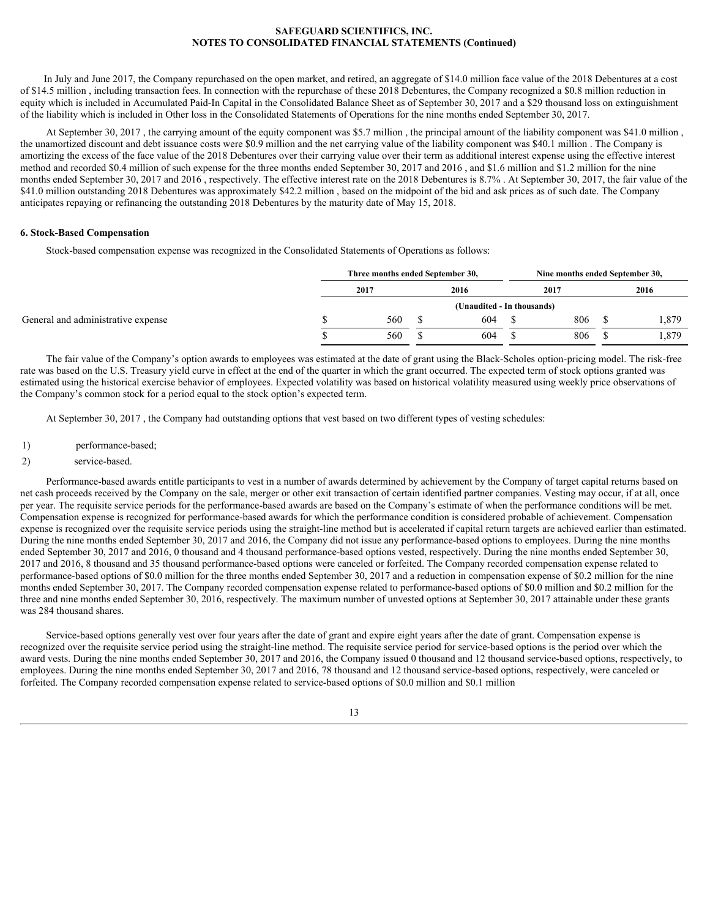In July and June 2017, the Company repurchased on the open market, and retired, an aggregate of \$14.0 million face value of the 2018 Debentures at a cost of \$14.5 million , including transaction fees. In connection with the repurchase of these 2018 Debentures, the Company recognized a \$0.8 million reduction in equity which is included in Accumulated Paid-In Capital in the Consolidated Balance Sheet as of September 30, 2017 and a \$29 thousand loss on extinguishment of the liability which is included in Other loss in the Consolidated Statements of Operations for the nine months ended September 30, 2017.

At September 30, 2017 , the carrying amount of the equity component was \$5.7 million , the principal amount of the liability component was \$41.0 million , the unamortized discount and debt issuance costs were \$0.9 million and the net carrying value of the liability component was \$40.1 million . The Company is amortizing the excess of the face value of the 2018 Debentures over their carrying value over their term as additional interest expense using the effective interest method and recorded \$0.4 million of such expense for the three months ended September 30, 2017 and 2016 , and \$1.6 million and \$1.2 million for the nine months ended September 30, 2017 and 2016, respectively. The effective interest rate on the 2018 Debentures is 8.7%. At September 30, 2017, the fair value of the \$41.0 million outstanding 2018 Debentures was approximately \$42.2 million , based on the midpoint of the bid and ask prices as of such date. The Company anticipates repaying or refinancing the outstanding 2018 Debentures by the maturity date of May 15, 2018.

## **6. Stock-Based Compensation**

Stock-based compensation expense was recognized in the Consolidated Statements of Operations as follows:

|                                    | Three months ended September 30, |                            | Nine months ended September 30, |      |  |       |  |  |
|------------------------------------|----------------------------------|----------------------------|---------------------------------|------|--|-------|--|--|
|                                    | 2017                             | 2016                       |                                 | 2017 |  | 2016  |  |  |
|                                    |                                  | (Unaudited - In thousands) |                                 |      |  |       |  |  |
| General and administrative expense | 560                              | 604                        |                                 | 806  |  | 1,879 |  |  |
|                                    | 560                              | 604                        |                                 | 806  |  | 1,879 |  |  |

The fair value of the Company's option awards to employees was estimated at the date of grant using the Black-Scholes option-pricing model. The risk-free rate was based on the U.S. Treasury yield curve in effect at the end of the quarter in which the grant occurred. The expected term of stock options granted was estimated using the historical exercise behavior of employees. Expected volatility was based on historical volatility measured using weekly price observations of the Company's common stock for a period equal to the stock option's expected term.

At September 30, 2017 , the Company had outstanding options that vest based on two different types of vesting schedules:

1) performance-based;

## 2) service-based.

Performance-based awards entitle participants to vest in a number of awards determined by achievement by the Company of target capital returns based on net cash proceeds received by the Company on the sale, merger or other exit transaction of certain identified partner companies. Vesting may occur, if at all, once per year. The requisite service periods for the performance-based awards are based on the Company's estimate of when the performance conditions will be met. Compensation expense is recognized for performance-based awards for which the performance condition is considered probable of achievement. Compensation expense is recognized over the requisite service periods using the straight-line method but is accelerated if capital return targets are achieved earlier than estimated. During the nine months ended September 30, 2017 and 2016, the Company did not issue any performance-based options to employees. During the nine months ended September 30, 2017 and 2016, 0 thousand and 4 thousand performance-based options vested, respectively. During the nine months ended September 30, 2017 and 2016, 8 thousand and 35 thousand performance-based options were canceled or forfeited. The Company recorded compensation expense related to performance-based options of \$0.0 million for the three months ended September 30, 2017 and a reduction in compensation expense of \$0.2 million for the nine months ended September 30, 2017. The Company recorded compensation expense related to performance-based options of \$0.0 million and \$0.2 million for the three and nine months ended September 30, 2016, respectively. The maximum number of unvested options at September 30, 2017 attainable under these grants was 284 thousand shares.

Service-based options generally vest over four years after the date of grant and expire eight years after the date of grant. Compensation expense is recognized over the requisite service period using the straight-line method. The requisite service period for service-based options is the period over which the award vests. During the nine months ended September 30, 2017 and 2016, the Company issued 0 thousand and 12 thousand service-based options, respectively, to employees. During the nine months ended September 30, 2017 and 2016, 78 thousand and 12 thousand service-based options, respectively, were canceled or forfeited. The Company recorded compensation expense related to service-based options of \$0.0 million and \$0.1 million

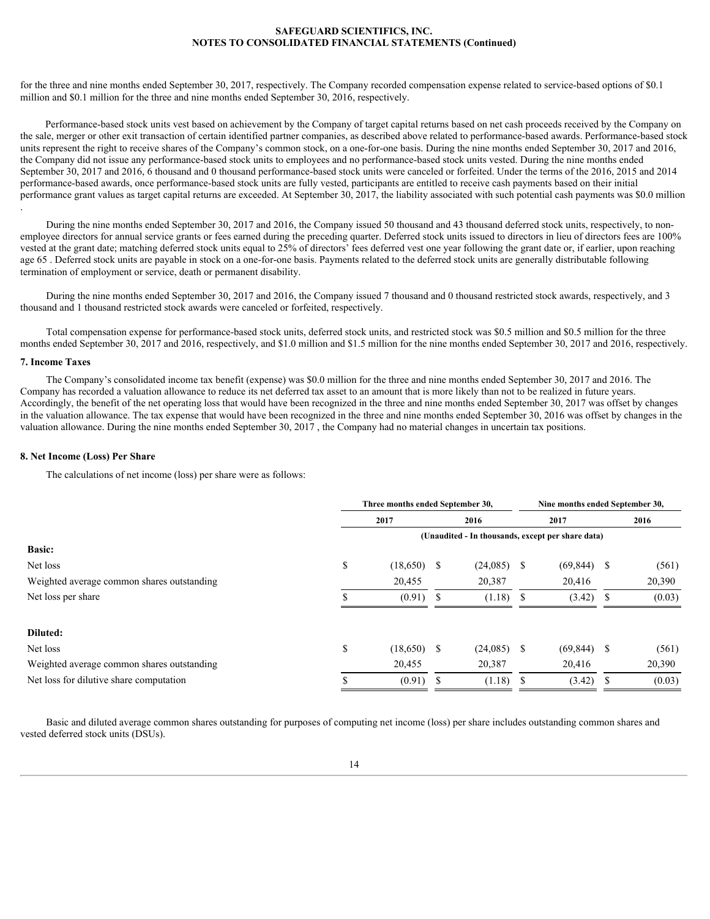for the three and nine months ended September 30, 2017, respectively. The Company recorded compensation expense related to service-based options of \$0.1 million and \$0.1 million for the three and nine months ended September 30, 2016, respectively.

Performance-based stock units vest based on achievement by the Company of target capital returns based on net cash proceeds received by the Company on the sale, merger or other exit transaction of certain identified partner companies, as described above related to performance-based awards. Performance-based stock units represent the right to receive shares of the Company's common stock, on a one-for-one basis. During the nine months ended September 30, 2017 and 2016, the Company did not issue any performance-based stock units to employees and no performance-based stock units vested. During the nine months ended September 30, 2017 and 2016, 6 thousand and 0 thousand performance-based stock units were canceled or forfeited. Under the terms of the 2016, 2015 and 2014 performance-based awards, once performance-based stock units are fully vested, participants are entitled to receive cash payments based on their initial performance grant values as target capital returns are exceeded. At September 30, 2017, the liability associated with such potential cash payments was \$0.0 million .

During the nine months ended September 30, 2017 and 2016, the Company issued 50 thousand and 43 thousand deferred stock units, respectively, to nonemployee directors for annual service grants or fees earned during the preceding quarter. Deferred stock units issued to directors in lieu of directors fees are 100% vested at the grant date; matching deferred stock units equal to 25% of directors' fees deferred vest one year following the grant date or, if earlier, upon reaching age 65 . Deferred stock units are payable in stock on a one-for-one basis. Payments related to the deferred stock units are generally distributable following termination of employment or service, death or permanent disability.

During the nine months ended September 30, 2017 and 2016, the Company issued 7 thousand and 0 thousand restricted stock awards, respectively, and 3 thousand and 1 thousand restricted stock awards were canceled or forfeited, respectively.

Total compensation expense for performance-based stock units, deferred stock units, and restricted stock was \$0.5 million and \$0.5 million for the three months ended September 30, 2017 and 2016, respectively, and \$1.0 million and \$1.5 million for the nine months ended September 30, 2017 and 2016, respectively.

# **7. Income Taxes**

The Company's consolidated income tax benefit (expense) was \$0.0 million for the three and nine months ended September 30, 2017 and 2016. The Company has recorded a valuation allowance to reduce its net deferred tax asset to an amount that is more likely than not to be realized in future years. Accordingly, the benefit of the net operating loss that would have been recognized in the three and nine months ended September 30, 2017 was offset by changes in the valuation allowance. The tax expense that would have been recognized in the three and nine months ended September 30, 2016 was offset by changes in the valuation allowance. During the nine months ended September 30, 2017 , the Company had no material changes in uncertain tax positions.

#### **8. Net Income (Loss) Per Share**

The calculations of net income (loss) per share were as follows:

|                                            | Three months ended September 30,                  |  |               |      | Nine months ended September 30, |  |        |  |  |  |
|--------------------------------------------|---------------------------------------------------|--|---------------|------|---------------------------------|--|--------|--|--|--|
|                                            | 2017                                              |  | 2016          | 2017 |                                 |  | 2016   |  |  |  |
|                                            | (Unaudited - In thousands, except per share data) |  |               |      |                                 |  |        |  |  |  |
| <b>Basic:</b>                              |                                                   |  |               |      |                                 |  |        |  |  |  |
| Net loss                                   | $(18,650)$ \$                                     |  | $(24,085)$ \$ |      | $(69,844)$ \$                   |  | (561)  |  |  |  |
| Weighted average common shares outstanding | 20,455                                            |  | 20,387        |      | 20,416                          |  | 20,390 |  |  |  |
| Net loss per share                         | (0.91)                                            |  | (1.18)        |      | $(3.42)$ \$                     |  | (0.03) |  |  |  |
|                                            |                                                   |  |               |      |                                 |  |        |  |  |  |
| Diluted:                                   |                                                   |  |               |      |                                 |  |        |  |  |  |
| Net loss                                   | $(18,650)$ \$                                     |  | $(24,085)$ \$ |      | $(69,844)$ \$                   |  | (561)  |  |  |  |
| Weighted average common shares outstanding | 20,455                                            |  | 20,387        |      | 20,416                          |  | 20,390 |  |  |  |
| Net loss for dilutive share computation    | $(0.91)$ \$                                       |  | $(1.18)$ \$   |      | $(3.42)$ \$                     |  | (0.03) |  |  |  |
|                                            |                                                   |  |               |      |                                 |  |        |  |  |  |

Basic and diluted average common shares outstanding for purposes of computing net income (loss) per share includes outstanding common shares and vested deferred stock units (DSUs).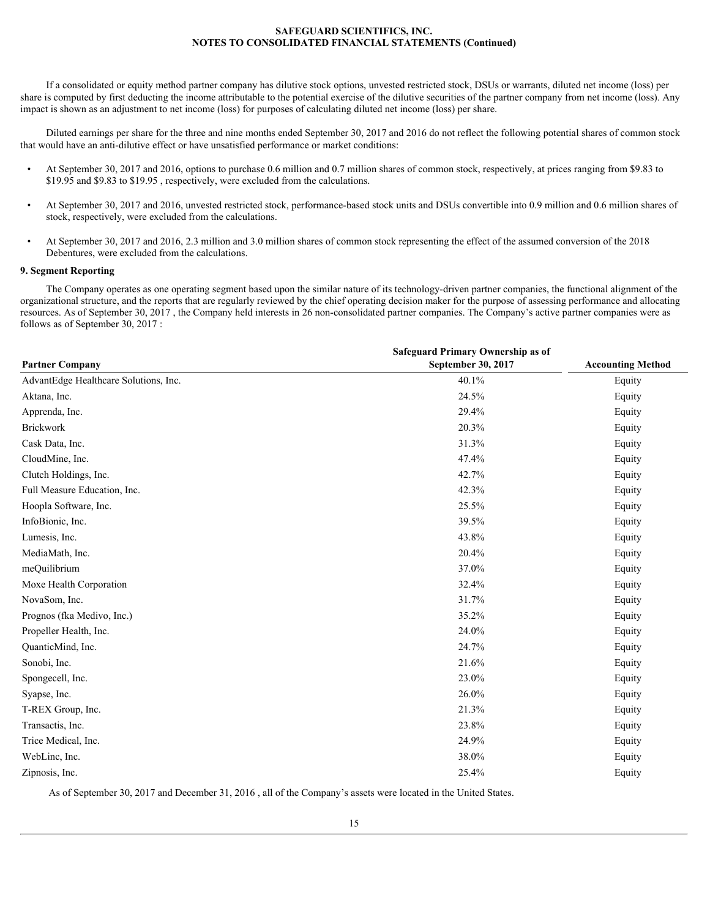If a consolidated or equity method partner company has dilutive stock options, unvested restricted stock, DSUs or warrants, diluted net income (loss) per share is computed by first deducting the income attributable to the potential exercise of the dilutive securities of the partner company from net income (loss). Any impact is shown as an adjustment to net income (loss) for purposes of calculating diluted net income (loss) per share.

Diluted earnings per share for the three and nine months ended September 30, 2017 and 2016 do not reflect the following potential shares of common stock that would have an anti-dilutive effect or have unsatisfied performance or market conditions:

- At September 30, 2017 and 2016, options to purchase 0.6 million and 0.7 million shares of common stock, respectively, at prices ranging from \$9.83 to \$19.95 and \$9.83 to \$19.95 , respectively, were excluded from the calculations.
- At September 30, 2017 and 2016, unvested restricted stock, performance-based stock units and DSUs convertible into 0.9 million and 0.6 million shares of stock, respectively, were excluded from the calculations.
- At September 30, 2017 and 2016, 2.3 million and 3.0 million shares of common stock representing the effect of the assumed conversion of the 2018 Debentures, were excluded from the calculations.

#### **9. Segment Reporting**

The Company operates as one operating segment based upon the similar nature of its technology-driven partner companies, the functional alignment of the organizational structure, and the reports that are regularly reviewed by the chief operating decision maker for the purpose of assessing performance and allocating resources. As of September 30, 2017 , the Company held interests in 26 non-consolidated partner companies. The Company's active partner companies were as follows as of September 30, 2017 :

|                                       | Safeguard Primary Ownership as of |                          |
|---------------------------------------|-----------------------------------|--------------------------|
| <b>Partner Company</b>                | September 30, 2017                | <b>Accounting Method</b> |
| AdvantEdge Healthcare Solutions, Inc. | 40.1%                             | Equity                   |
| Aktana, Inc.                          | 24.5%                             | Equity                   |
| Apprenda, Inc.                        | 29.4%                             | Equity                   |
| <b>Brickwork</b>                      | 20.3%                             | Equity                   |
| Cask Data, Inc.                       | 31.3%                             | Equity                   |
| CloudMine, Inc.                       | 47.4%                             | Equity                   |
| Clutch Holdings, Inc.                 | 42.7%                             | Equity                   |
| Full Measure Education, Inc.          | 42.3%                             | Equity                   |
| Hoopla Software, Inc.                 | 25.5%                             | Equity                   |
| InfoBionic, Inc.                      | 39.5%                             | Equity                   |
| Lumesis, Inc.                         | 43.8%                             | Equity                   |
| MediaMath, Inc.                       | 20.4%                             | Equity                   |
| meQuilibrium                          | 37.0%                             | Equity                   |
| Moxe Health Corporation               | 32.4%                             | Equity                   |
| NovaSom, Inc.                         | 31.7%                             | Equity                   |
| Prognos (fka Medivo, Inc.)            | 35.2%                             | Equity                   |
| Propeller Health, Inc.                | 24.0%                             | Equity                   |
| QuanticMind, Inc.                     | 24.7%                             | Equity                   |
| Sonobi, Inc.                          | 21.6%                             | Equity                   |
| Spongecell, Inc.                      | 23.0%                             | Equity                   |
| Syapse, Inc.                          | 26.0%                             | Equity                   |
| T-REX Group, Inc.                     | 21.3%                             | Equity                   |
| Transactis, Inc.                      | 23.8%                             | Equity                   |
| Trice Medical, Inc.                   | 24.9%                             | Equity                   |
| WebLinc, Inc.                         | 38.0%                             | Equity                   |
| Zipnosis, Inc.                        | 25.4%                             | Equity                   |

As of September 30, 2017 and December 31, 2016 , all of the Company's assets were located in the United States.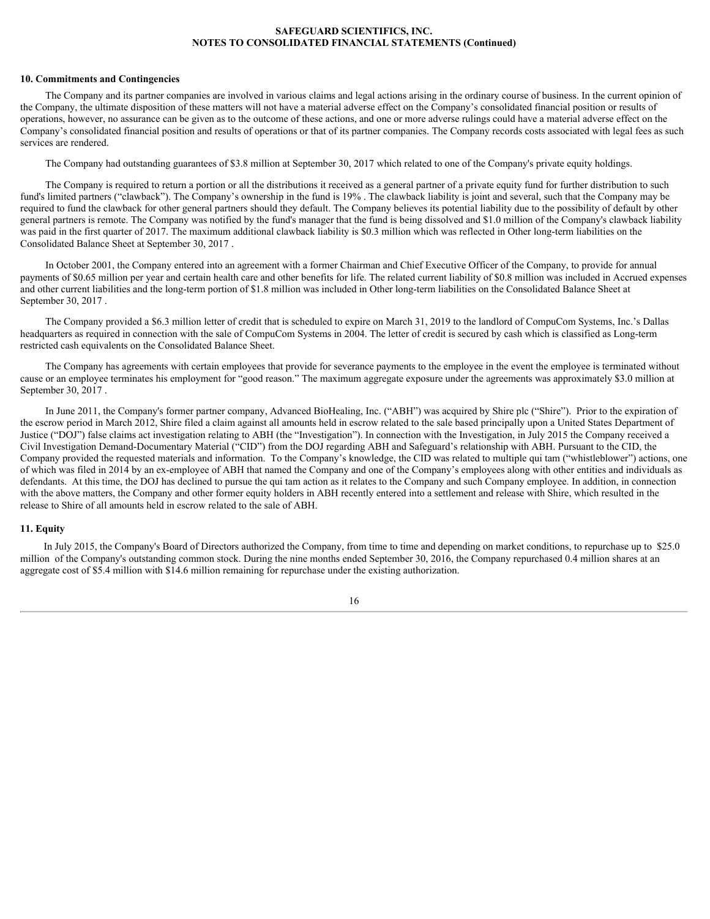#### **10. Commitments and Contingencies**

The Company and its partner companies are involved in various claims and legal actions arising in the ordinary course of business. In the current opinion of the Company, the ultimate disposition of these matters will not have a material adverse effect on the Company's consolidated financial position or results of operations, however, no assurance can be given as to the outcome of these actions, and one or more adverse rulings could have a material adverse effect on the Company's consolidated financial position and results of operations or that of its partner companies. The Company records costs associated with legal fees as such services are rendered.

The Company had outstanding guarantees of \$3.8 million at September 30, 2017 which related to one of the Company's private equity holdings.

The Company is required to return a portion or all the distributions it received as a general partner of a private equity fund for further distribution to such fund's limited partners ("clawback"). The Company's ownership in the fund is 19% . The clawback liability is joint and several, such that the Company may be required to fund the clawback for other general partners should they default. The Company believes its potential liability due to the possibility of default by other general partners is remote. The Company was notified by the fund's manager that the fund is being dissolved and \$1.0 million of the Company's clawback liability was paid in the first quarter of 2017. The maximum additional clawback liability is \$0.3 million which was reflected in Other long-term liabilities on the Consolidated Balance Sheet at September 30, 2017 .

In October 2001, the Company entered into an agreement with a former Chairman and Chief Executive Officer of the Company, to provide for annual payments of \$0.65 million per year and certain health care and other benefits for life. The related current liability of \$0.8 million was included in Accrued expenses and other current liabilities and the long-term portion of \$1.8 million was included in Other long-term liabilities on the Consolidated Balance Sheet at September 30, 2017 .

The Company provided a \$6.3 million letter of credit that is scheduled to expire on March 31, 2019 to the landlord of CompuCom Systems, Inc.'s Dallas headquarters as required in connection with the sale of CompuCom Systems in 2004. The letter of credit is secured by cash which is classified as Long-term restricted cash equivalents on the Consolidated Balance Sheet.

The Company has agreements with certain employees that provide for severance payments to the employee in the event the employee is terminated without cause or an employee terminates his employment for "good reason." The maximum aggregate exposure under the agreements was approximately \$3.0 million at September 30, 2017 .

In June 2011, the Company's former partner company, Advanced BioHealing, Inc. ("ABH") was acquired by Shire plc ("Shire"). Prior to the expiration of the escrow period in March 2012, Shire filed a claim against all amounts held in escrow related to the sale based principally upon a United States Department of Justice ("DOJ") false claims act investigation relating to ABH (the "Investigation"). In connection with the Investigation, in July 2015 the Company received a Civil Investigation Demand-Documentary Material ("CID") from the DOJ regarding ABH and Safeguard's relationship with ABH. Pursuant to the CID, the Company provided the requested materials and information. To the Company's knowledge, the CID was related to multiple qui tam ("whistleblower") actions, one of which was filed in 2014 by an ex-employee of ABH that named the Company and one of the Company's employees along with other entities and individuals as defendants. At this time, the DOJ has declined to pursue the qui tam action as it relates to the Company and such Company employee. In addition, in connection with the above matters, the Company and other former equity holders in ABH recently entered into a settlement and release with Shire, which resulted in the release to Shire of all amounts held in escrow related to the sale of ABH.

#### **11. Equity**

In July 2015, the Company's Board of Directors authorized the Company, from time to time and depending on market conditions, to repurchase up to \$25.0 million of the Company's outstanding common stock. During the nine months ended September 30, 2016, the Company repurchased 0.4 million shares at an aggregate cost of \$5.4 million with \$14.6 million remaining for repurchase under the existing authorization.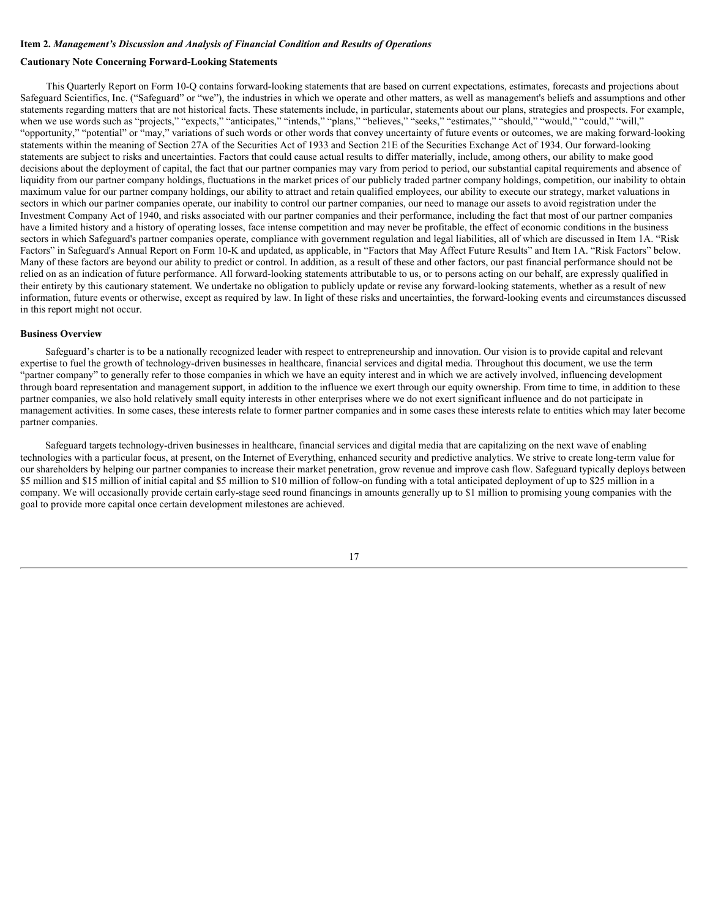# <span id="page-16-0"></span>**Item 2.** *Management's Discussion and Analysis of Financial Condition and Results of Operations*

# **Cautionary Note Concerning Forward-Looking Statements**

This Quarterly Report on Form 10-Q contains forward-looking statements that are based on current expectations, estimates, forecasts and projections about Safeguard Scientifics, Inc. ("Safeguard" or "we"), the industries in which we operate and other matters, as well as management's beliefs and assumptions and other statements regarding matters that are not historical facts. These statements include, in particular, statements about our plans, strategies and prospects. For example, when we use words such as "projects," "expects," "anticipates," "intends," "plans," "believes," "seeks," "estimates," "should," "would," "could," "will," "opportunity," "potential" or "may," variations of such words or other words that convey uncertainty of future events or outcomes, we are making forward-looking statements within the meaning of Section 27A of the Securities Act of 1933 and Section 21E of the Securities Exchange Act of 1934. Our forward-looking statements are subject to risks and uncertainties. Factors that could cause actual results to differ materially, include, among others, our ability to make good decisions about the deployment of capital, the fact that our partner companies may vary from period to period, our substantial capital requirements and absence of liquidity from our partner company holdings, fluctuations in the market prices of our publicly traded partner company holdings, competition, our inability to obtain maximum value for our partner company holdings, our ability to attract and retain qualified employees, our ability to execute our strategy, market valuations in sectors in which our partner companies operate, our inability to control our partner companies, our need to manage our assets to avoid registration under the Investment Company Act of 1940, and risks associated with our partner companies and their performance, including the fact that most of our partner companies have a limited history and a history of operating losses, face intense competition and may never be profitable, the effect of economic conditions in the business sectors in which Safeguard's partner companies operate, compliance with government regulation and legal liabilities, all of which are discussed in Item 1A. "Risk Factors" in Safeguard's Annual Report on Form 10-K and updated, as applicable, in "Factors that May Affect Future Results" and Item 1A. "Risk Factors" below. Many of these factors are beyond our ability to predict or control. In addition, as a result of these and other factors, our past financial performance should not be relied on as an indication of future performance. All forward-looking statements attributable to us, or to persons acting on our behalf, are expressly qualified in their entirety by this cautionary statement. We undertake no obligation to publicly update or revise any forward-looking statements, whether as a result of new information, future events or otherwise, except as required by law. In light of these risks and uncertainties, the forward-looking events and circumstances discussed in this report might not occur.

#### **Business Overview**

Safeguard's charter is to be a nationally recognized leader with respect to entrepreneurship and innovation. Our vision is to provide capital and relevant expertise to fuel the growth of technology-driven businesses in healthcare, financial services and digital media. Throughout this document, we use the term "partner company" to generally refer to those companies in which we have an equity interest and in which we are actively involved, influencing development through board representation and management support, in addition to the influence we exert through our equity ownership. From time to time, in addition to these partner companies, we also hold relatively small equity interests in other enterprises where we do not exert significant influence and do not participate in management activities. In some cases, these interests relate to former partner companies and in some cases these interests relate to entities which may later become partner companies.

Safeguard targets technology-driven businesses in healthcare, financial services and digital media that are capitalizing on the next wave of enabling technologies with a particular focus, at present, on the Internet of Everything, enhanced security and predictive analytics. We strive to create long-term value for our shareholders by helping our partner companies to increase their market penetration, grow revenue and improve cash flow. Safeguard typically deploys between \$5 million and \$15 million of initial capital and \$5 million to \$10 million of follow-on funding with a total anticipated deployment of up to \$25 million in a company. We will occasionally provide certain early-stage seed round financings in amounts generally up to \$1 million to promising young companies with the goal to provide more capital once certain development milestones are achieved.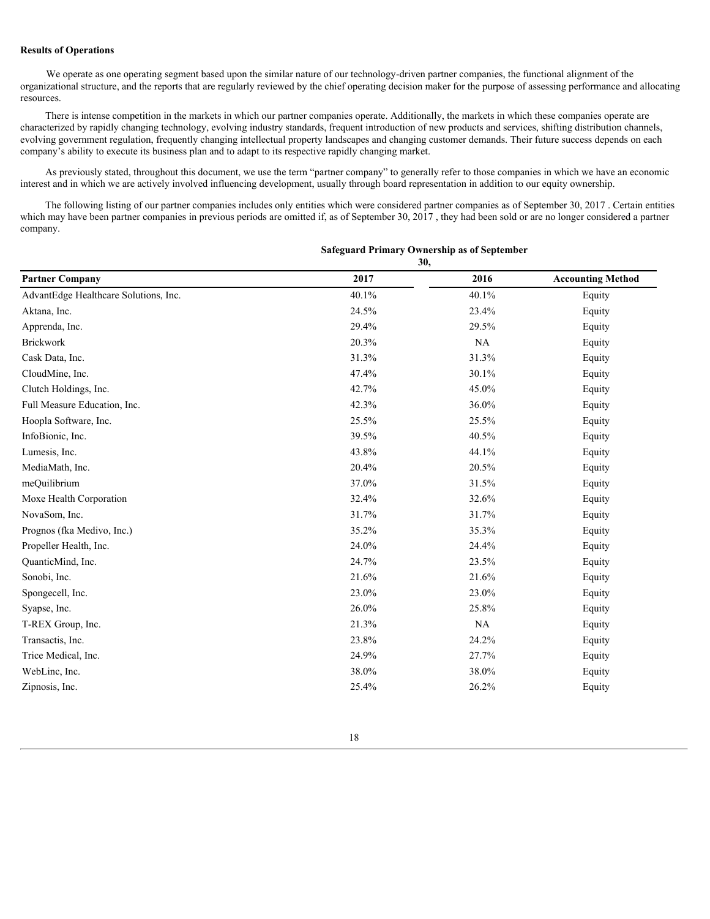## **Results of Operations**

We operate as one operating segment based upon the similar nature of our technology-driven partner companies, the functional alignment of the organizational structure, and the reports that are regularly reviewed by the chief operating decision maker for the purpose of assessing performance and allocating resources.

There is intense competition in the markets in which our partner companies operate. Additionally, the markets in which these companies operate are characterized by rapidly changing technology, evolving industry standards, frequent introduction of new products and services, shifting distribution channels, evolving government regulation, frequently changing intellectual property landscapes and changing customer demands. Their future success depends on each company's ability to execute its business plan and to adapt to its respective rapidly changing market.

As previously stated, throughout this document, we use the term "partner company" to generally refer to those companies in which we have an economic interest and in which we are actively involved influencing development, usually through board representation in addition to our equity ownership.

The following listing of our partner companies includes only entities which were considered partner companies as of September 30, 2017 . Certain entities which may have been partner companies in previous periods are omitted if, as of September 30, 2017, they had been sold or are no longer considered a partner company.

# **30, Partner Company 2017 2016 Accounting Method** AdvantEdge Healthcare Solutions, Inc. 6. 1992 1.1% 40.1% 40.1% 40.1% 40.1% 40.1% Equity Aktana, Inc. 6. Equity 24.5% 24.5% 23.4% 23.4% Equity Apprenda, Inc. 29.4% 29.4% 29.5% Equity Brickwork 20.3% NA Equity Cask Data, Inc. 6. 2012. The contract of the contract of the set of the set of the set of the set of the set of the set of the set of the set of the set of the set of the set of the set of the set of the set of the set of  $\mu$ CloudMine, Inc.  $\mu$  and  $\mu$  and  $\mu$  and  $\mu$  and  $\mu$  and  $\mu$  and  $\mu$  and  $\mu$  and  $\mu$  and  $\mu$  and  $\mu$  and  $\mu$  and  $\mu$  and  $\mu$  and  $\mu$  and  $\mu$  and  $\mu$  and  $\mu$  and  $\mu$  and  $\mu$  and  $\mu$  and  $\mu$  and  $\mu$ Clutch Holdings, Inc. 42.7% 45.0% Equity Full Measure Education, Inc. 6. The extension of the contract of the 42.3% 36.0% Equity Hoopla Software, Inc. 25.5% 25.5% Equity InfoBionic, Inc. 6. The contract of the contract of the set of the set of the set of the set of the set of the set of the set of the set of the set of the set of the set of the set of the set of the set of the set of the s Lumesis, Inc. 6. 2012. The same state of the set of the set of the 44.1% 44.1% Equity Equity MediaMath, Inc. Equity and the contract of the contract of the 20.4% 20.5% Equity equity equilibrium of the contract of the 20.4% 20.5% Equity meQuilibrium 37.0% 31.5% Equity Moxe Health Corporation 632.4% 32.4% 32.6% Equity NovaSom, Inc.  $31.7\%$   $31.7\%$   $31.7\%$  Equity Prognos (fka Medivo, Inc.) 35.2% 35.3% Bquity Propeller Health, Inc. 24.0% 24.4% Equity QuanticMind, Inc. 24.7% 22.7% 23.5% Equity Sonobi, Inc.  $21.6\%$   $21.6\%$   $21.6\%$  Equity Spongecell, Inc. 23.0% 23.0% 23.0% 23.0% Equity Syapse, Inc.  $26.0\%$   $25.8\%$  Equity T-REX Group, Inc. **Equity** 21.3% NA Equity Transactis, Inc.  $23.8\%$   $24.2\%$  Equity Trice Medical, Inc. **Equity** 24.9% 24.9% 27.7% 27.7% Equity WebLinc, Inc. 6. The same state of the state of the state of the state of the state of the state of the state of the state of the state of the state of the state of the state of the state of the state of the state of the s  $\chi$  25.4% 26.2% Equity 26.2% Equity

# **Safeguard Primary Ownership as of September**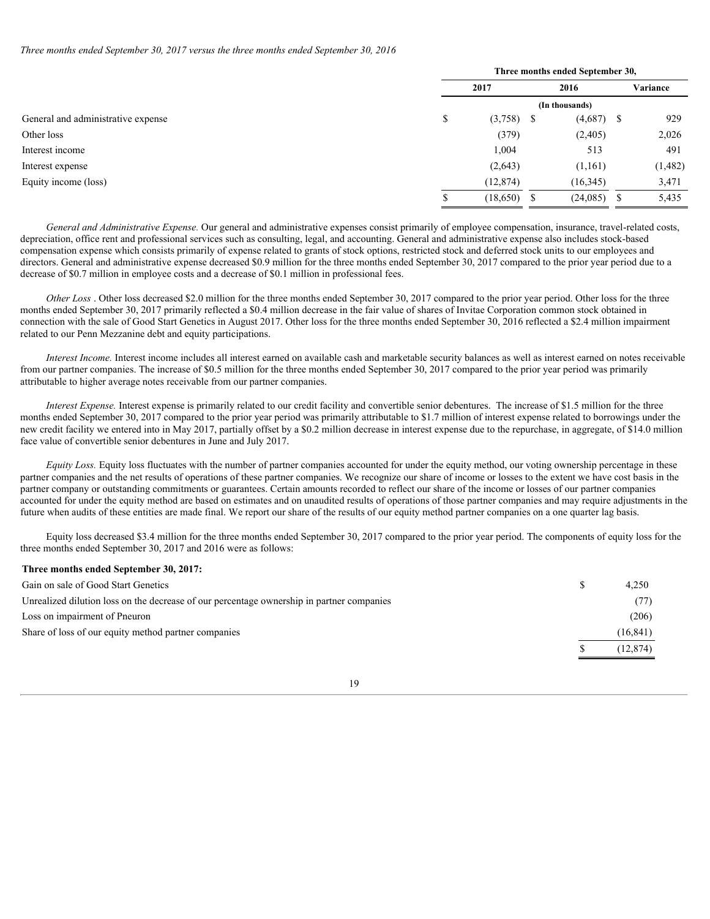*Three months ended September 30, 2017 versus the three months ended September 30, 2016*

|                                    | Three months ended September 30, |               |      |               |  |          |  |  |
|------------------------------------|----------------------------------|---------------|------|---------------|--|----------|--|--|
|                                    | 2017                             |               | 2016 |               |  | Variance |  |  |
|                                    | (In thousands)                   |               |      |               |  |          |  |  |
| General and administrative expense | Φ                                | $(3,758)$ \$  |      | $(4,687)$ \$  |  | 929      |  |  |
| Other loss                         |                                  | (379)         |      | (2,405)       |  | 2,026    |  |  |
| Interest income                    |                                  | 1,004         |      | 513           |  | 491      |  |  |
| Interest expense                   |                                  | (2,643)       |      | (1,161)       |  | (1,482)  |  |  |
| Equity income (loss)               |                                  | (12, 874)     |      | (16, 345)     |  | 3,471    |  |  |
|                                    |                                  | $(18,650)$ \$ |      | $(24,085)$ \$ |  | 5,435    |  |  |

*General and Administrative Expense.* Our general and administrative expenses consist primarily of employee compensation, insurance, travel-related costs, depreciation, office rent and professional services such as consulting, legal, and accounting. General and administrative expense also includes stock-based compensation expense which consists primarily of expense related to grants of stock options, restricted stock and deferred stock units to our employees and directors. General and administrative expense decreased \$0.9 million for the three months ended September 30, 2017 compared to the prior year period due to a decrease of \$0.7 million in employee costs and a decrease of \$0.1 million in professional fees.

*Other Loss* . Other loss decreased \$2.0 million for the three months ended September 30, 2017 compared to the prior year period. Other loss for the three months ended September 30, 2017 primarily reflected a \$0.4 million decrease in the fair value of shares of Invitae Corporation common stock obtained in connection with the sale of Good Start Genetics in August 2017. Other loss for the three months ended September 30, 2016 reflected a \$2.4 million impairment related to our Penn Mezzanine debt and equity participations.

*Interest Income.* Interest income includes all interest earned on available cash and marketable security balances as well as interest earned on notes receivable from our partner companies. The increase of \$0.5 million for the three months ended September 30, 2017 compared to the prior year period was primarily attributable to higher average notes receivable from our partner companies.

*Interest Expense.* Interest expense is primarily related to our credit facility and convertible senior debentures. The increase of \$1.5 million for the three months ended September 30, 2017 compared to the prior year period was primarily attributable to \$1.7 million of interest expense related to borrowings under the new credit facility we entered into in May 2017, partially offset by a \$0.2 million decrease in interest expense due to the repurchase, in aggregate, of \$14.0 million face value of convertible senior debentures in June and July 2017.

*Equity Loss.* Equity loss fluctuates with the number of partner companies accounted for under the equity method, our voting ownership percentage in these partner companies and the net results of operations of these partner companies. We recognize our share of income or losses to the extent we have cost basis in the partner company or outstanding commitments or guarantees. Certain amounts recorded to reflect our share of the income or losses of our partner companies accounted for under the equity method are based on estimates and on unaudited results of operations of those partner companies and may require adjustments in the future when audits of these entities are made final. We report our share of the results of our equity method partner companies on a one quarter lag basis.

Equity loss decreased \$3.4 million for the three months ended September 30, 2017 compared to the prior year period. The components of equity loss for the three months ended September 30, 2017 and 2016 were as follows:

#### **Three months ended September 30, 2017:**

| Gain on sale of Good Start Genetics                                                       | 4,250     |
|-------------------------------------------------------------------------------------------|-----------|
| Unrealized dilution loss on the decrease of our percentage ownership in partner companies | (77)      |
| Loss on impairment of Pneuron                                                             | (206)     |
| Share of loss of our equity method partner companies                                      | (16, 841) |
|                                                                                           | (12, 874) |
|                                                                                           |           |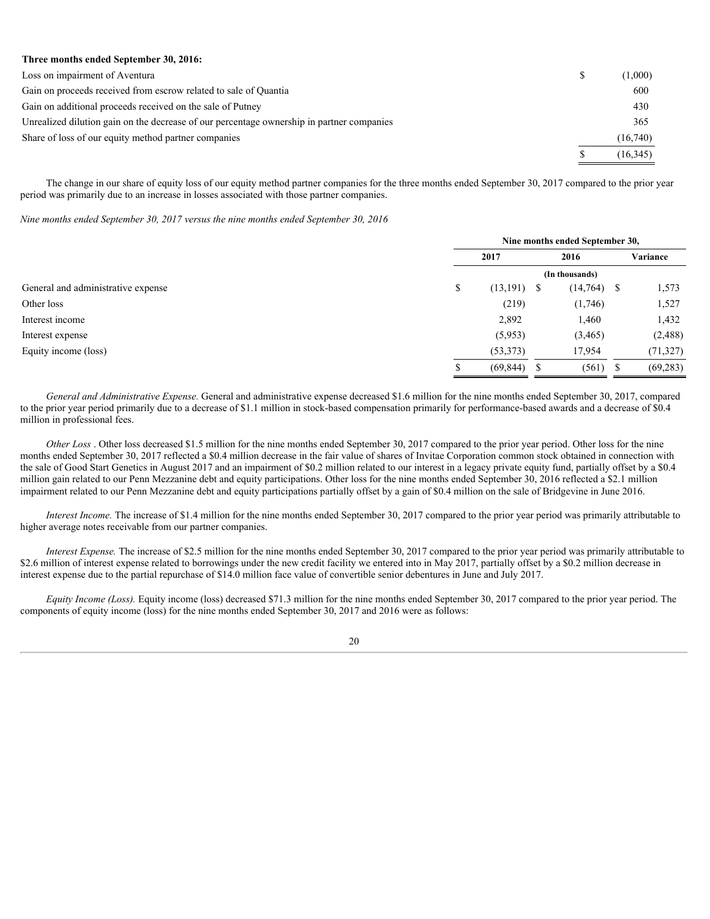# **Three months ended September 30, 2016:**

| Loss on impairment of Aventura                                                            | (1,000)   |
|-------------------------------------------------------------------------------------------|-----------|
| Gain on proceeds received from escrow related to sale of Quantia                          | 600       |
| Gain on additional proceeds received on the sale of Putney                                | 430       |
| Unrealized dilution gain on the decrease of our percentage ownership in partner companies | 365       |
| Share of loss of our equity method partner companies                                      | (16,740)  |
|                                                                                           | (16, 345) |

The change in our share of equity loss of our equity method partner companies for the three months ended September 30, 2017 compared to the prior year period was primarily due to an increase in losses associated with those partner companies.

*Nine months ended September 30, 2017 versus the nine months ended September 30, 2016*

|                                    | Nine months ended September 30, |                |   |               |           |  |  |  |  |
|------------------------------------|---------------------------------|----------------|---|---------------|-----------|--|--|--|--|
|                                    |                                 | 2017           |   | 2016          | Variance  |  |  |  |  |
|                                    | (In thousands)                  |                |   |               |           |  |  |  |  |
| General and administrative expense |                                 | $(13, 191)$ \$ |   | $(14,764)$ \$ | 1,573     |  |  |  |  |
| Other loss                         |                                 | (219)          |   | (1,746)       | 1,527     |  |  |  |  |
| Interest income                    |                                 | 2,892          |   | 1,460         | 1,432     |  |  |  |  |
| Interest expense                   |                                 | (5,953)        |   | (3, 465)      | (2, 488)  |  |  |  |  |
| Equity income (loss)               |                                 | (53, 373)      |   | 17,954        | (71, 327) |  |  |  |  |
|                                    |                                 | (69, 844)      | Ъ | $(561)$ \$    | (69, 283) |  |  |  |  |
|                                    |                                 |                |   |               |           |  |  |  |  |

*General and Administrative Expense.* General and administrative expense decreased \$1.6 million for the nine months ended September 30, 2017, compared to the prior year period primarily due to a decrease of \$1.1 million in stock-based compensation primarily for performance-based awards and a decrease of \$0.4 million in professional fees.

*Other Loss* . Other loss decreased \$1.5 million for the nine months ended September 30, 2017 compared to the prior year period. Other loss for the nine months ended September 30, 2017 reflected a \$0.4 million decrease in the fair value of shares of Invitae Corporation common stock obtained in connection with the sale of Good Start Genetics in August 2017 and an impairment of \$0.2 million related to our interest in a legacy private equity fund, partially offset by a \$0.4 million gain related to our Penn Mezzanine debt and equity participations. Other loss for the nine months ended September 30, 2016 reflected a \$2.1 million impairment related to our Penn Mezzanine debt and equity participations partially offset by a gain of \$0.4 million on the sale of Bridgevine in June 2016.

*Interest Income.* The increase of \$1.4 million for the nine months ended September 30, 2017 compared to the prior year period was primarily attributable to higher average notes receivable from our partner companies.

*Interest Expense.* The increase of \$2.5 million for the nine months ended September 30, 2017 compared to the prior year period was primarily attributable to \$2.6 million of interest expense related to borrowings under the new credit facility we entered into in May 2017, partially offset by a \$0.2 million decrease in interest expense due to the partial repurchase of \$14.0 million face value of convertible senior debentures in June and July 2017.

*Equity Income (Loss).* Equity income (loss) decreased \$71.3 million for the nine months ended September 30, 2017 compared to the prior year period. The components of equity income (loss) for the nine months ended September 30, 2017 and 2016 were as follows: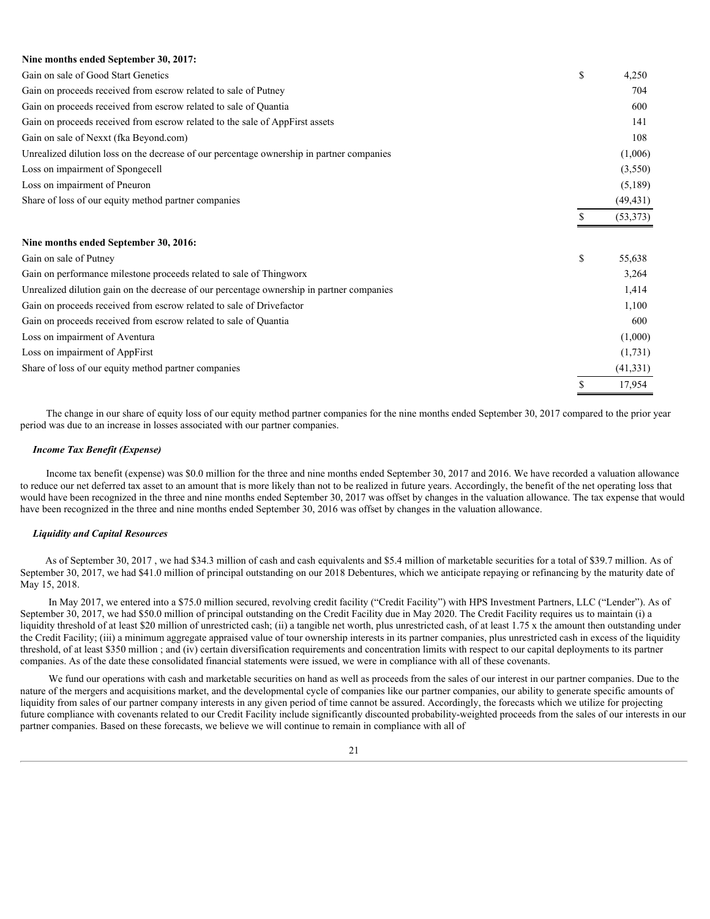# **Nine months ended September 30, 2017:**

| Gain on sale of Good Start Genetics                                                       | \$            | 4,250     |  |
|-------------------------------------------------------------------------------------------|---------------|-----------|--|
| Gain on proceeds received from escrow related to sale of Putney                           |               | 704       |  |
| Gain on proceeds received from escrow related to sale of Quantia                          |               | 600       |  |
| Gain on proceeds received from escrow related to the sale of AppFirst assets              |               | 141       |  |
| Gain on sale of Nexxt (fka Beyond.com)                                                    |               | 108       |  |
| Unrealized dilution loss on the decrease of our percentage ownership in partner companies |               | (1,006)   |  |
| Loss on impairment of Spongecell                                                          |               | (3,550)   |  |
| Loss on impairment of Pneuron                                                             |               | (5,189)   |  |
| Share of loss of our equity method partner companies                                      |               | (49, 431) |  |
|                                                                                           |               | (53, 373) |  |
|                                                                                           |               |           |  |
| Nine months ended September 30, 2016:                                                     |               |           |  |
| Gain on sale of Putney                                                                    | <sup>\$</sup> | 55,638    |  |
| Gain on performance milestone proceeds related to sale of Thingworx                       |               | 3,264     |  |
| Unrealized dilution gain on the decrease of our percentage ownership in partner companies |               | 1,414     |  |
| Gain on proceeds received from escrow related to sale of Drivefactor                      |               | 1,100     |  |
| Gain on proceeds received from escrow related to sale of Quantia                          |               | 600       |  |
| Loss on impairment of Aventura                                                            |               | (1,000)   |  |
| Loss on impairment of AppFirst                                                            |               | (1,731)   |  |
| Share of loss of our equity method partner companies                                      |               | (41, 331) |  |

The change in our share of equity loss of our equity method partner companies for the nine months ended September 30, 2017 compared to the prior year period was due to an increase in losses associated with our partner companies.

\$ 17,954

#### *Income Tax Benefit (Expense)*

Income tax benefit (expense) was \$0.0 million for the three and nine months ended September 30, 2017 and 2016. We have recorded a valuation allowance to reduce our net deferred tax asset to an amount that is more likely than not to be realized in future years. Accordingly, the benefit of the net operating loss that would have been recognized in the three and nine months ended September 30, 2017 was offset by changes in the valuation allowance. The tax expense that would have been recognized in the three and nine months ended September 30, 2016 was offset by changes in the valuation allowance.

#### *Liquidity and Capital Resources*

As of September 30, 2017 , we had \$34.3 million of cash and cash equivalents and \$5.4 million of marketable securities for a total of \$39.7 million. As of September 30, 2017, we had \$41.0 million of principal outstanding on our 2018 Debentures, which we anticipate repaying or refinancing by the maturity date of May 15, 2018.

In May 2017, we entered into a \$75.0 million secured, revolving credit facility ("Credit Facility") with HPS Investment Partners, LLC ("Lender"). As of September 30, 2017, we had \$50.0 million of principal outstanding on the Credit Facility due in May 2020. The Credit Facility requires us to maintain (i) a liquidity threshold of at least \$20 million of unrestricted cash; (ii) a tangible net worth, plus unrestricted cash, of at least 1.75 x the amount then outstanding under the Credit Facility; (iii) a minimum aggregate appraised value of tour ownership interests in its partner companies, plus unrestricted cash in excess of the liquidity threshold, of at least \$350 million ; and (iv) certain diversification requirements and concentration limits with respect to our capital deployments to its partner companies. As of the date these consolidated financial statements were issued, we were in compliance with all of these covenants.

We fund our operations with cash and marketable securities on hand as well as proceeds from the sales of our interest in our partner companies. Due to the nature of the mergers and acquisitions market, and the developmental cycle of companies like our partner companies, our ability to generate specific amounts of liquidity from sales of our partner company interests in any given period of time cannot be assured. Accordingly, the forecasts which we utilize for projecting future compliance with covenants related to our Credit Facility include significantly discounted probability-weighted proceeds from the sales of our interests in our partner companies. Based on these forecasts, we believe we will continue to remain in compliance with all of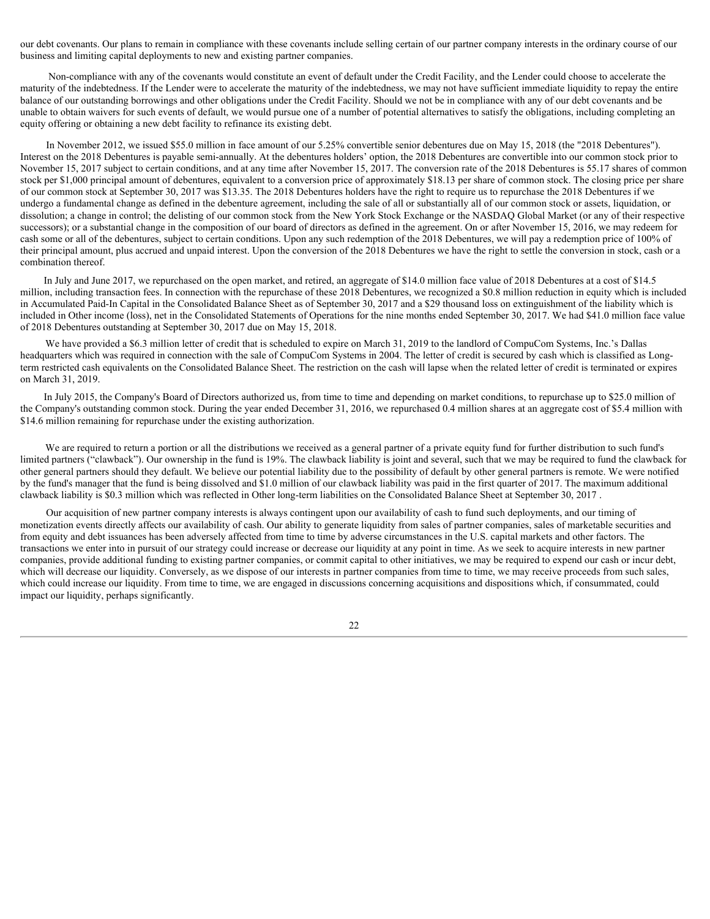our debt covenants. Our plans to remain in compliance with these covenants include selling certain of our partner company interests in the ordinary course of our business and limiting capital deployments to new and existing partner companies.

Non-compliance with any of the covenants would constitute an event of default under the Credit Facility, and the Lender could choose to accelerate the maturity of the indebtedness. If the Lender were to accelerate the maturity of the indebtedness, we may not have sufficient immediate liquidity to repay the entire balance of our outstanding borrowings and other obligations under the Credit Facility. Should we not be in compliance with any of our debt covenants and be unable to obtain waivers for such events of default, we would pursue one of a number of potential alternatives to satisfy the obligations, including completing an equity offering or obtaining a new debt facility to refinance its existing debt.

In November 2012, we issued \$55.0 million in face amount of our 5.25% convertible senior debentures due on May 15, 2018 (the "2018 Debentures"). Interest on the 2018 Debentures is payable semi-annually. At the debentures holders' option, the 2018 Debentures are convertible into our common stock prior to November 15, 2017 subject to certain conditions, and at any time after November 15, 2017. The conversion rate of the 2018 Debentures is 55.17 shares of common stock per \$1,000 principal amount of debentures, equivalent to a conversion price of approximately \$18.13 per share of common stock. The closing price per share of our common stock at September 30, 2017 was \$13.35. The 2018 Debentures holders have the right to require us to repurchase the 2018 Debentures if we undergo a fundamental change as defined in the debenture agreement, including the sale of all or substantially all of our common stock or assets, liquidation, or dissolution; a change in control; the delisting of our common stock from the New York Stock Exchange or the NASDAQ Global Market (or any of their respective successors); or a substantial change in the composition of our board of directors as defined in the agreement. On or after November 15, 2016, we may redeem for cash some or all of the debentures, subject to certain conditions. Upon any such redemption of the 2018 Debentures, we will pay a redemption price of 100% of their principal amount, plus accrued and unpaid interest. Upon the conversion of the 2018 Debentures we have the right to settle the conversion in stock, cash or a combination thereof.

In July and June 2017, we repurchased on the open market, and retired, an aggregate of \$14.0 million face value of 2018 Debentures at a cost of \$14.5 million, including transaction fees. In connection with the repurchase of these 2018 Debentures, we recognized a \$0.8 million reduction in equity which is included in Accumulated Paid-In Capital in the Consolidated Balance Sheet as of September 30, 2017 and a \$29 thousand loss on extinguishment of the liability which is included in Other income (loss), net in the Consolidated Statements of Operations for the nine months ended September 30, 2017. We had \$41.0 million face value of 2018 Debentures outstanding at September 30, 2017 due on May 15, 2018.

We have provided a \$6.3 million letter of credit that is scheduled to expire on March 31, 2019 to the landlord of CompuCom Systems, Inc.'s Dallas headquarters which was required in connection with the sale of CompuCom Systems in 2004. The letter of credit is secured by cash which is classified as Longterm restricted cash equivalents on the Consolidated Balance Sheet. The restriction on the cash will lapse when the related letter of credit is terminated or expires on March 31, 2019.

In July 2015, the Company's Board of Directors authorized us, from time to time and depending on market conditions, to repurchase up to \$25.0 million of the Company's outstanding common stock. During the year ended December 31, 2016, we repurchased 0.4 million shares at an aggregate cost of \$5.4 million with \$14.6 million remaining for repurchase under the existing authorization.

We are required to return a portion or all the distributions we received as a general partner of a private equity fund for further distribution to such fund's limited partners ("clawback"). Our ownership in the fund is 19%. The clawback liability is joint and several, such that we may be required to fund the clawback for other general partners should they default. We believe our potential liability due to the possibility of default by other general partners is remote. We were notified by the fund's manager that the fund is being dissolved and \$1.0 million of our clawback liability was paid in the first quarter of 2017. The maximum additional clawback liability is \$0.3 million which was reflected in Other long-term liabilities on the Consolidated Balance Sheet at September 30, 2017 .

Our acquisition of new partner company interests is always contingent upon our availability of cash to fund such deployments, and our timing of monetization events directly affects our availability of cash. Our ability to generate liquidity from sales of partner companies, sales of marketable securities and from equity and debt issuances has been adversely affected from time to time by adverse circumstances in the U.S. capital markets and other factors. The transactions we enter into in pursuit of our strategy could increase or decrease our liquidity at any point in time. As we seek to acquire interests in new partner companies, provide additional funding to existing partner companies, or commit capital to other initiatives, we may be required to expend our cash or incur debt, which will decrease our liquidity. Conversely, as we dispose of our interests in partner companies from time to time, we may receive proceeds from such sales, which could increase our liquidity. From time to time, we are engaged in discussions concerning acquisitions and dispositions which, if consummated, could impact our liquidity, perhaps significantly.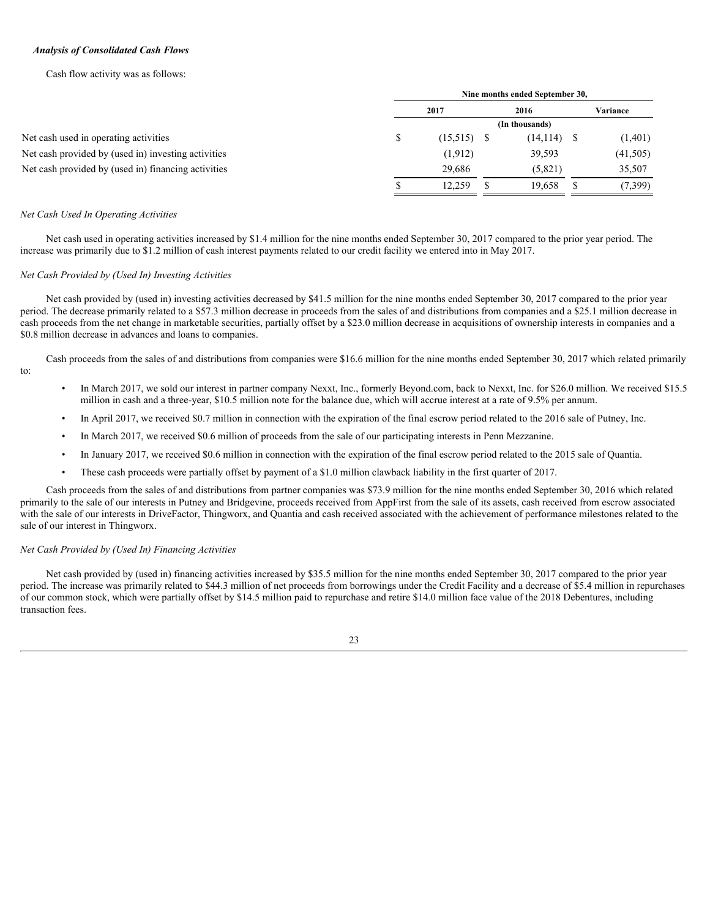# *Analysis of Consolidated Cash Flows*

Cash flow activity was as follows:

|                                                     |                | Nine months ended September 30, |  |                |  |           |  |  |  |
|-----------------------------------------------------|----------------|---------------------------------|--|----------------|--|-----------|--|--|--|
|                                                     |                | 2017                            |  | 2016           |  | Variance  |  |  |  |
|                                                     | (In thousands) |                                 |  |                |  |           |  |  |  |
| Net cash used in operating activities               |                | $(15,515)$ \$                   |  | $(14, 114)$ \$ |  | (1,401)   |  |  |  |
| Net cash provided by (used in) investing activities |                | (1, 912)                        |  | 39,593         |  | (41, 505) |  |  |  |
| Net cash provided by (used in) financing activities |                | 29.686                          |  | (5,821)        |  | 35,507    |  |  |  |
|                                                     |                | 12,259                          |  | 19,658         |  | 7,399)    |  |  |  |
|                                                     |                |                                 |  |                |  |           |  |  |  |

#### *Net Cash Used In Operating Activities*

Net cash used in operating activities increased by \$1.4 million for the nine months ended September 30, 2017 compared to the prior year period. The increase was primarily due to \$1.2 million of cash interest payments related to our credit facility we entered into in May 2017.

#### *Net Cash Provided by (Used In) Investing Activities*

Net cash provided by (used in) investing activities decreased by \$41.5 million for the nine months ended September 30, 2017 compared to the prior year period. The decrease primarily related to a \$57.3 million decrease in proceeds from the sales of and distributions from companies and a \$25.1 million decrease in cash proceeds from the net change in marketable securities, partially offset by a \$23.0 million decrease in acquisitions of ownership interests in companies and a \$0.8 million decrease in advances and loans to companies.

Cash proceeds from the sales of and distributions from companies were \$16.6 million for the nine months ended September 30, 2017 which related primarily to:

- In March 2017, we sold our interest in partner company Nexxt, Inc., formerly Beyond.com, back to Nexxt, Inc. for \$26.0 million. We received \$15.5 million in cash and a three-year, \$10.5 million note for the balance due, which will accrue interest at a rate of 9.5% per annum.
- In April 2017, we received \$0.7 million in connection with the expiration of the final escrow period related to the 2016 sale of Putney, Inc.
- In March 2017, we received \$0.6 million of proceeds from the sale of our participating interests in Penn Mezzanine.
- In January 2017, we received \$0.6 million in connection with the expiration of the final escrow period related to the 2015 sale of Quantia.
- These cash proceeds were partially offset by payment of a \$1.0 million clawback liability in the first quarter of 2017.

Cash proceeds from the sales of and distributions from partner companies was \$73.9 million for the nine months ended September 30, 2016 which related primarily to the sale of our interests in Putney and Bridgevine, proceeds received from AppFirst from the sale of its assets, cash received from escrow associated with the sale of our interests in DriveFactor, Thingworx, and Quantia and cash received associated with the achievement of performance milestones related to the sale of our interest in Thingworx.

# *Net Cash Provided by (Used In) Financing Activities*

Net cash provided by (used in) financing activities increased by \$35.5 million for the nine months ended September 30, 2017 compared to the prior year period. The increase was primarily related to \$44.3 million of net proceeds from borrowings under the Credit Facility and a decrease of \$5.4 million in repurchases of our common stock, which were partially offset by \$14.5 million paid to repurchase and retire \$14.0 million face value of the 2018 Debentures, including transaction fees.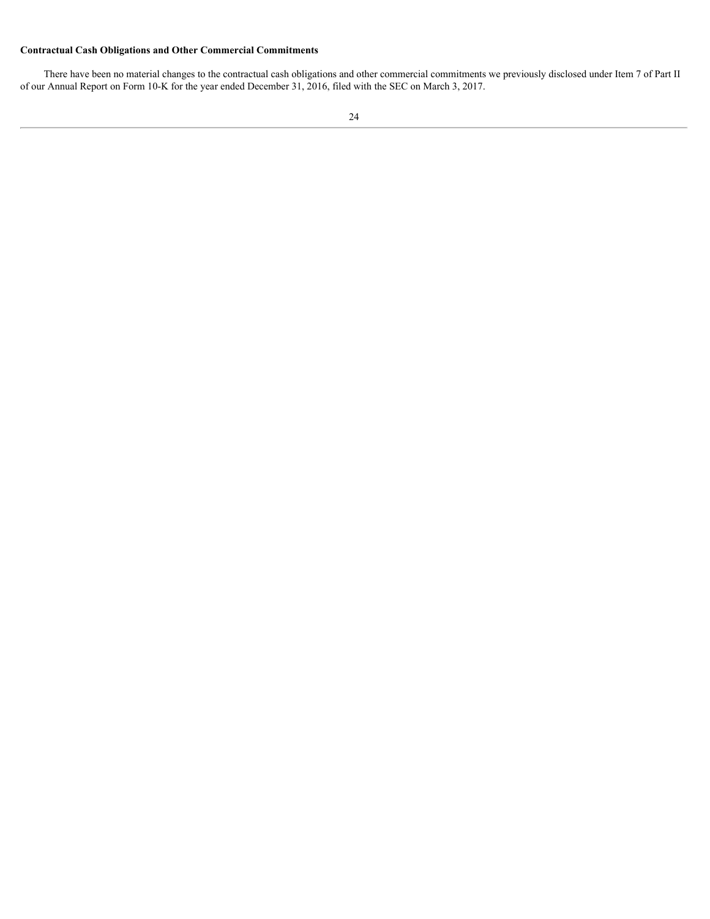# **Contractual Cash Obligations and Other Commercial Commitments**

There have been no material changes to the contractual cash obligations and other commercial commitments we previously disclosed under Item 7 of Part II of our Annual Report on Form 10-K for the year ended December 31, 2016, filed with the SEC on March 3, 2017.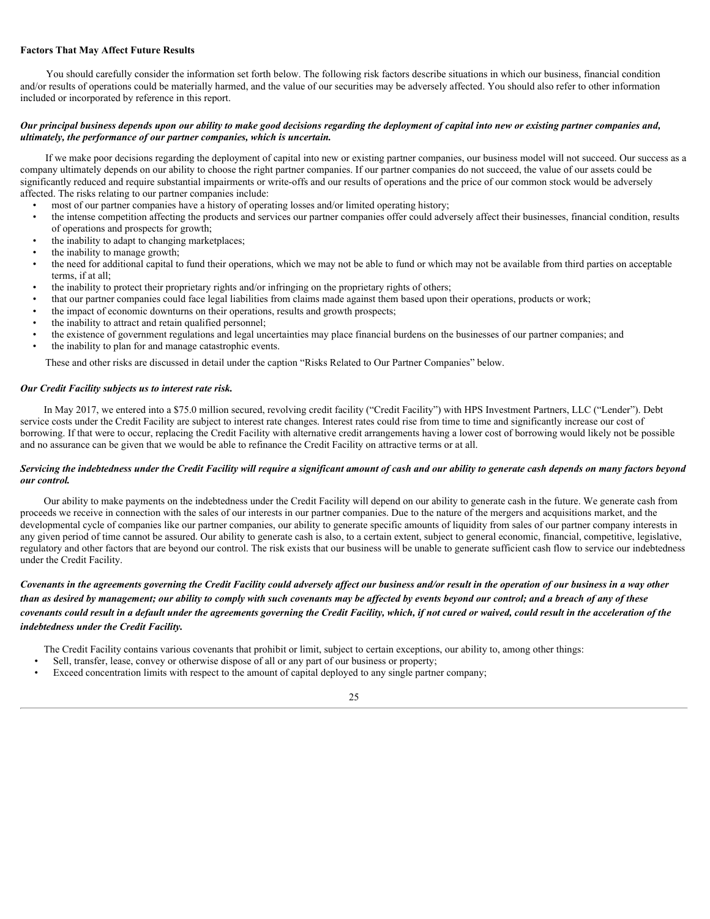# **Factors That May Affect Future Results**

You should carefully consider the information set forth below. The following risk factors describe situations in which our business, financial condition and/or results of operations could be materially harmed, and the value of our securities may be adversely affected. You should also refer to other information included or incorporated by reference in this report.

## *Our principal business depends upon our ability to make good decisions regarding the deployment of capital into new or existing partner companies and, ultimately, the performance of our partner companies, which is uncertain.*

If we make poor decisions regarding the deployment of capital into new or existing partner companies, our business model will not succeed. Our success as a company ultimately depends on our ability to choose the right partner companies. If our partner companies do not succeed, the value of our assets could be significantly reduced and require substantial impairments or write-offs and our results of operations and the price of our common stock would be adversely affected. The risks relating to our partner companies include:

- most of our partner companies have a history of operating losses and/or limited operating history;
- the intense competition affecting the products and services our partner companies offer could adversely affect their businesses, financial condition, results of operations and prospects for growth;
- the inability to adapt to changing marketplaces;
- the inability to manage growth;
- the need for additional capital to fund their operations, which we may not be able to fund or which may not be available from third parties on acceptable terms, if at all;
- the inability to protect their proprietary rights and/or infringing on the proprietary rights of others;
- that our partner companies could face legal liabilities from claims made against them based upon their operations, products or work;
- the impact of economic downturns on their operations, results and growth prospects;
- the inability to attract and retain qualified personnel;
- the existence of government regulations and legal uncertainties may place financial burdens on the businesses of our partner companies; and
- the inability to plan for and manage catastrophic events.

These and other risks are discussed in detail under the caption "Risks Related to Our Partner Companies" below.

#### *Our Credit Facility subjects us to interest rate risk.*

In May 2017, we entered into a \$75.0 million secured, revolving credit facility ("Credit Facility") with HPS Investment Partners, LLC ("Lender"). Debt service costs under the Credit Facility are subject to interest rate changes. Interest rates could rise from time to time and significantly increase our cost of borrowing. If that were to occur, replacing the Credit Facility with alternative credit arrangements having a lower cost of borrowing would likely not be possible and no assurance can be given that we would be able to refinance the Credit Facility on attractive terms or at all.

#### *Servicing the indebtedness under the Credit Facility will require a significant amount of cash and our ability to generate cash depends on many factors beyond our control.*

Our ability to make payments on the indebtedness under the Credit Facility will depend on our ability to generate cash in the future. We generate cash from proceeds we receive in connection with the sales of our interests in our partner companies. Due to the nature of the mergers and acquisitions market, and the developmental cycle of companies like our partner companies, our ability to generate specific amounts of liquidity from sales of our partner company interests in any given period of time cannot be assured. Our ability to generate cash is also, to a certain extent, subject to general economic, financial, competitive, legislative, regulatory and other factors that are beyond our control. The risk exists that our business will be unable to generate sufficient cash flow to service our indebtedness under the Credit Facility.

# *Covenants in the agreements governing the Credit Facility could adversely affect our business and/or result in the operation of our business in a way other than as desired by management; our ability to comply with such covenants may be affected by events beyond our control; and a breach of any of these covenants could result in a default under the agreements governing the Credit Facility, which, if not cured or waived, could result in the acceleration of the indebtedness under the Credit Facility.*

The Credit Facility contains various covenants that prohibit or limit, subject to certain exceptions, our ability to, among other things:

- Sell, transfer, lease, convey or otherwise dispose of all or any part of our business or property;
- Exceed concentration limits with respect to the amount of capital deployed to any single partner company;

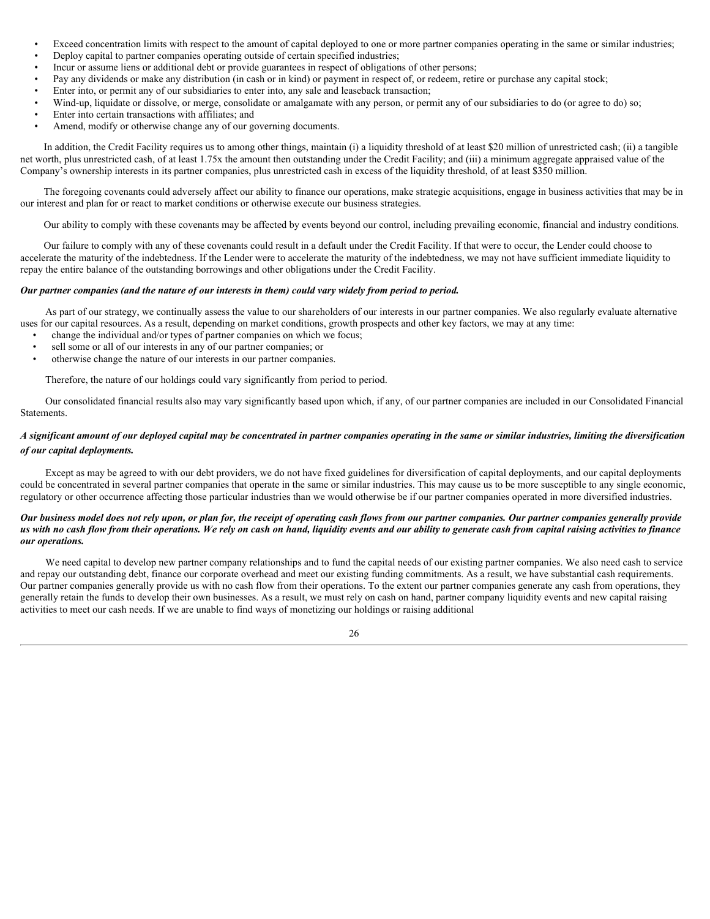- Exceed concentration limits with respect to the amount of capital deployed to one or more partner companies operating in the same or similar industries;
- Deploy capital to partner companies operating outside of certain specified industries;
- Incur or assume liens or additional debt or provide guarantees in respect of obligations of other persons;
- Pay any dividends or make any distribution (in cash or in kind) or payment in respect of, or redeem, retire or purchase any capital stock;
- Enter into, or permit any of our subsidiaries to enter into, any sale and leaseback transaction;
- Wind-up, liquidate or dissolve, or merge, consolidate or amalgamate with any person, or permit any of our subsidiaries to do (or agree to do) so;
- Enter into certain transactions with affiliates; and
- Amend, modify or otherwise change any of our governing documents.

In addition, the Credit Facility requires us to among other things, maintain (i) a liquidity threshold of at least \$20 million of unrestricted cash; (ii) a tangible net worth, plus unrestricted cash, of at least 1.75x the amount then outstanding under the Credit Facility; and (iii) a minimum aggregate appraised value of the Company's ownership interests in its partner companies, plus unrestricted cash in excess of the liquidity threshold, of at least \$350 million.

The foregoing covenants could adversely affect our ability to finance our operations, make strategic acquisitions, engage in business activities that may be in our interest and plan for or react to market conditions or otherwise execute our business strategies.

Our ability to comply with these covenants may be affected by events beyond our control, including prevailing economic, financial and industry conditions.

Our failure to comply with any of these covenants could result in a default under the Credit Facility. If that were to occur, the Lender could choose to accelerate the maturity of the indebtedness. If the Lender were to accelerate the maturity of the indebtedness, we may not have sufficient immediate liquidity to repay the entire balance of the outstanding borrowings and other obligations under the Credit Facility.

### *Our partner companies (and the nature of our interests in them) could vary widely from period to period.*

As part of our strategy, we continually assess the value to our shareholders of our interests in our partner companies. We also regularly evaluate alternative uses for our capital resources. As a result, depending on market conditions, growth prospects and other key factors, we may at any time:

- change the individual and/or types of partner companies on which we focus;
- sell some or all of our interests in any of our partner companies; or
- otherwise change the nature of our interests in our partner companies.

Therefore, the nature of our holdings could vary significantly from period to period.

Our consolidated financial results also may vary significantly based upon which, if any, of our partner companies are included in our Consolidated Financial Statements.

# *A significant amount of our deployed capital may be concentrated in partner companies operating in the same or similar industries, limiting the diversification of our capital deployments.*

Except as may be agreed to with our debt providers, we do not have fixed guidelines for diversification of capital deployments, and our capital deployments could be concentrated in several partner companies that operate in the same or similar industries. This may cause us to be more susceptible to any single economic, regulatory or other occurrence affecting those particular industries than we would otherwise be if our partner companies operated in more diversified industries.

# *Our business model does not rely upon, or plan for, the receipt of operating cash flows from our partner companies. Our partner companies generally provide us with no cash flow from their operations. We rely on cash on hand, liquidity events and our ability to generate cash from capital raising activities to finance our operations.*

We need capital to develop new partner company relationships and to fund the capital needs of our existing partner companies. We also need cash to service and repay our outstanding debt, finance our corporate overhead and meet our existing funding commitments. As a result, we have substantial cash requirements. Our partner companies generally provide us with no cash flow from their operations. To the extent our partner companies generate any cash from operations, they generally retain the funds to develop their own businesses. As a result, we must rely on cash on hand, partner company liquidity events and new capital raising activities to meet our cash needs. If we are unable to find ways of monetizing our holdings or raising additional

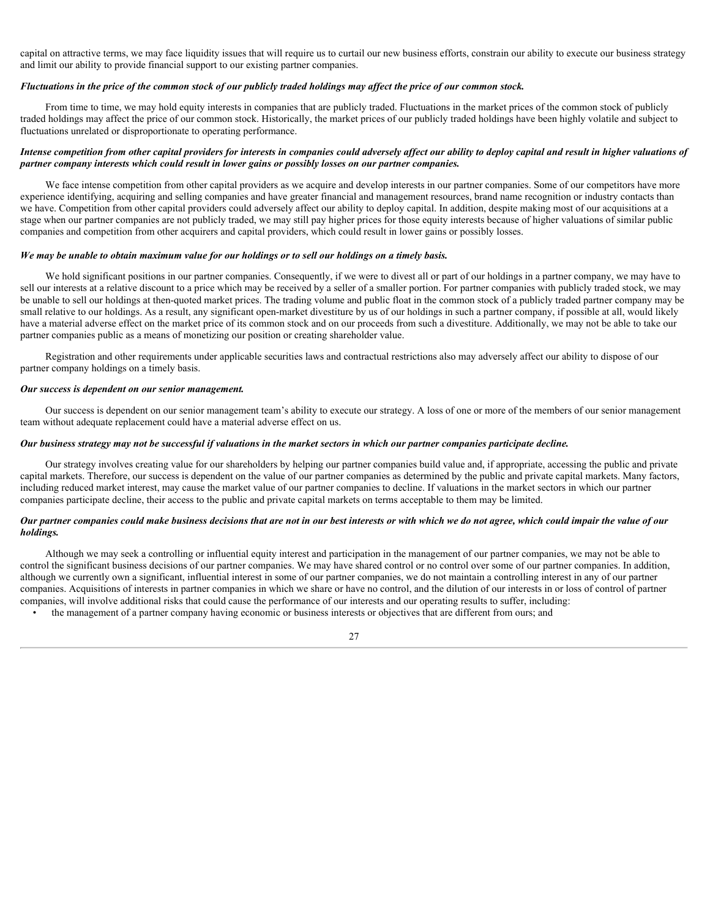capital on attractive terms, we may face liquidity issues that will require us to curtail our new business efforts, constrain our ability to execute our business strategy and limit our ability to provide financial support to our existing partner companies.

#### *Fluctuations in the price of the common stock of our publicly traded holdings may affect the price of our common stock.*

From time to time, we may hold equity interests in companies that are publicly traded. Fluctuations in the market prices of the common stock of publicly traded holdings may affect the price of our common stock. Historically, the market prices of our publicly traded holdings have been highly volatile and subject to fluctuations unrelated or disproportionate to operating performance.

# *Intense competition from other capital providers for interests in companies could adversely affect our ability to deploy capital and result in higher valuations of partner company interests which could result in lower gains or possibly losses on our partner companies.*

We face intense competition from other capital providers as we acquire and develop interests in our partner companies. Some of our competitors have more experience identifying, acquiring and selling companies and have greater financial and management resources, brand name recognition or industry contacts than we have. Competition from other capital providers could adversely affect our ability to deploy capital. In addition, despite making most of our acquisitions at a stage when our partner companies are not publicly traded, we may still pay higher prices for those equity interests because of higher valuations of similar public companies and competition from other acquirers and capital providers, which could result in lower gains or possibly losses.

# *We may be unable to obtain maximum value for our holdings or to sell our holdings on a timely basis.*

We hold significant positions in our partner companies. Consequently, if we were to divest all or part of our holdings in a partner company, we may have to sell our interests at a relative discount to a price which may be received by a seller of a smaller portion. For partner companies with publicly traded stock, we may be unable to sell our holdings at then-quoted market prices. The trading volume and public float in the common stock of a publicly traded partner company may be small relative to our holdings. As a result, any significant open-market divestiture by us of our holdings in such a partner company, if possible at all, would likely have a material adverse effect on the market price of its common stock and on our proceeds from such a divestiture. Additionally, we may not be able to take our partner companies public as a means of monetizing our position or creating shareholder value.

Registration and other requirements under applicable securities laws and contractual restrictions also may adversely affect our ability to dispose of our partner company holdings on a timely basis.

#### *Our success is dependent on our senior management.*

Our success is dependent on our senior management team's ability to execute our strategy. A loss of one or more of the members of our senior management team without adequate replacement could have a material adverse effect on us.

#### *Our business strategy may not be successful if valuations in the market sectors in which our partner companies participate decline.*

Our strategy involves creating value for our shareholders by helping our partner companies build value and, if appropriate, accessing the public and private capital markets. Therefore, our success is dependent on the value of our partner companies as determined by the public and private capital markets. Many factors, including reduced market interest, may cause the market value of our partner companies to decline. If valuations in the market sectors in which our partner companies participate decline, their access to the public and private capital markets on terms acceptable to them may be limited.

# *Our partner companies could make business decisions that are not in our best interests or with which we do not agree, which could impair the value of our holdings.*

Although we may seek a controlling or influential equity interest and participation in the management of our partner companies, we may not be able to control the significant business decisions of our partner companies. We may have shared control or no control over some of our partner companies. In addition, although we currently own a significant, influential interest in some of our partner companies, we do not maintain a controlling interest in any of our partner companies. Acquisitions of interests in partner companies in which we share or have no control, and the dilution of our interests in or loss of control of partner companies, will involve additional risks that could cause the performance of our interests and our operating results to suffer, including:

• the management of a partner company having economic or business interests or objectives that are different from ours; and

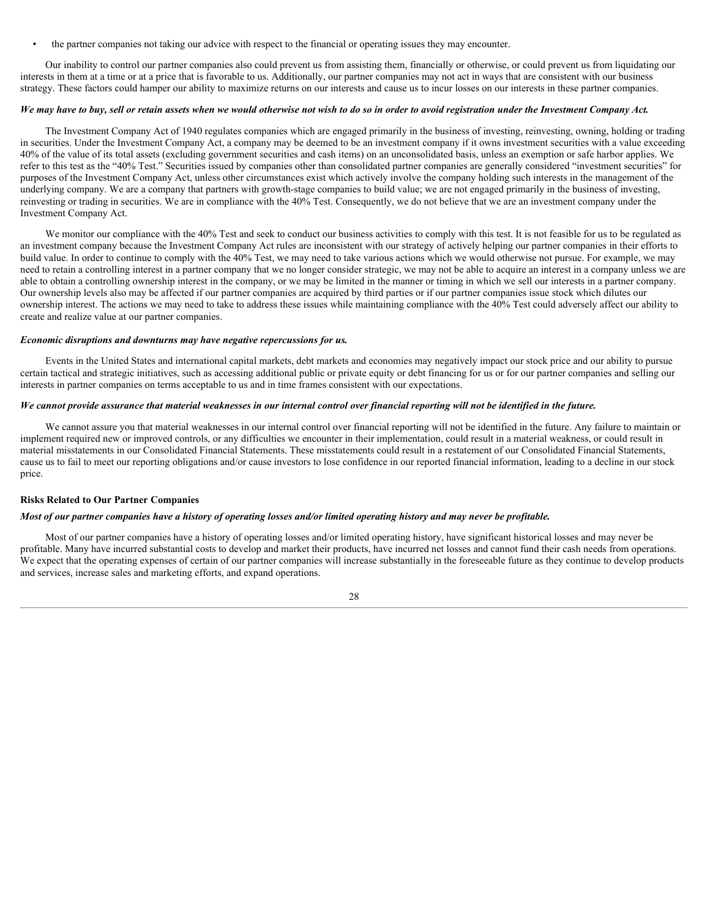• the partner companies not taking our advice with respect to the financial or operating issues they may encounter.

Our inability to control our partner companies also could prevent us from assisting them, financially or otherwise, or could prevent us from liquidating our interests in them at a time or at a price that is favorable to us. Additionally, our partner companies may not act in ways that are consistent with our business strategy. These factors could hamper our ability to maximize returns on our interests and cause us to incur losses on our interests in these partner companies.

#### *We may have to buy, sell or retain assets when we would otherwise not wish to do so in order to avoid registration under the Investment Company Act.*

The Investment Company Act of 1940 regulates companies which are engaged primarily in the business of investing, reinvesting, owning, holding or trading in securities. Under the Investment Company Act, a company may be deemed to be an investment company if it owns investment securities with a value exceeding 40% of the value of its total assets (excluding government securities and cash items) on an unconsolidated basis, unless an exemption or safe harbor applies. We refer to this test as the "40% Test." Securities issued by companies other than consolidated partner companies are generally considered "investment securities" for purposes of the Investment Company Act, unless other circumstances exist which actively involve the company holding such interests in the management of the underlying company. We are a company that partners with growth-stage companies to build value; we are not engaged primarily in the business of investing, reinvesting or trading in securities. We are in compliance with the 40% Test. Consequently, we do not believe that we are an investment company under the Investment Company Act.

We monitor our compliance with the 40% Test and seek to conduct our business activities to comply with this test. It is not feasible for us to be regulated as an investment company because the Investment Company Act rules are inconsistent with our strategy of actively helping our partner companies in their efforts to build value. In order to continue to comply with the 40% Test, we may need to take various actions which we would otherwise not pursue. For example, we may need to retain a controlling interest in a partner company that we no longer consider strategic, we may not be able to acquire an interest in a company unless we are able to obtain a controlling ownership interest in the company, or we may be limited in the manner or timing in which we sell our interests in a partner company. Our ownership levels also may be affected if our partner companies are acquired by third parties or if our partner companies issue stock which dilutes our ownership interest. The actions we may need to take to address these issues while maintaining compliance with the 40% Test could adversely affect our ability to create and realize value at our partner companies.

#### *Economic disruptions and downturns may have negative repercussions for us.*

Events in the United States and international capital markets, debt markets and economies may negatively impact our stock price and our ability to pursue certain tactical and strategic initiatives, such as accessing additional public or private equity or debt financing for us or for our partner companies and selling our interests in partner companies on terms acceptable to us and in time frames consistent with our expectations.

#### *We cannot provide assurance that material weaknesses in our internal control over financial reporting will not be identified in the future.*

We cannot assure you that material weaknesses in our internal control over financial reporting will not be identified in the future. Any failure to maintain or implement required new or improved controls, or any difficulties we encounter in their implementation, could result in a material weakness, or could result in material misstatements in our Consolidated Financial Statements. These misstatements could result in a restatement of our Consolidated Financial Statements, cause us to fail to meet our reporting obligations and/or cause investors to lose confidence in our reported financial information, leading to a decline in our stock price.

# **Risks Related to Our Partner Companies**

#### *Most of our partner companies have a history of operating losses and/or limited operating history and may never be profitable.*

Most of our partner companies have a history of operating losses and/or limited operating history, have significant historical losses and may never be profitable. Many have incurred substantial costs to develop and market their products, have incurred net losses and cannot fund their cash needs from operations. We expect that the operating expenses of certain of our partner companies will increase substantially in the foreseeable future as they continue to develop products and services, increase sales and marketing efforts, and expand operations.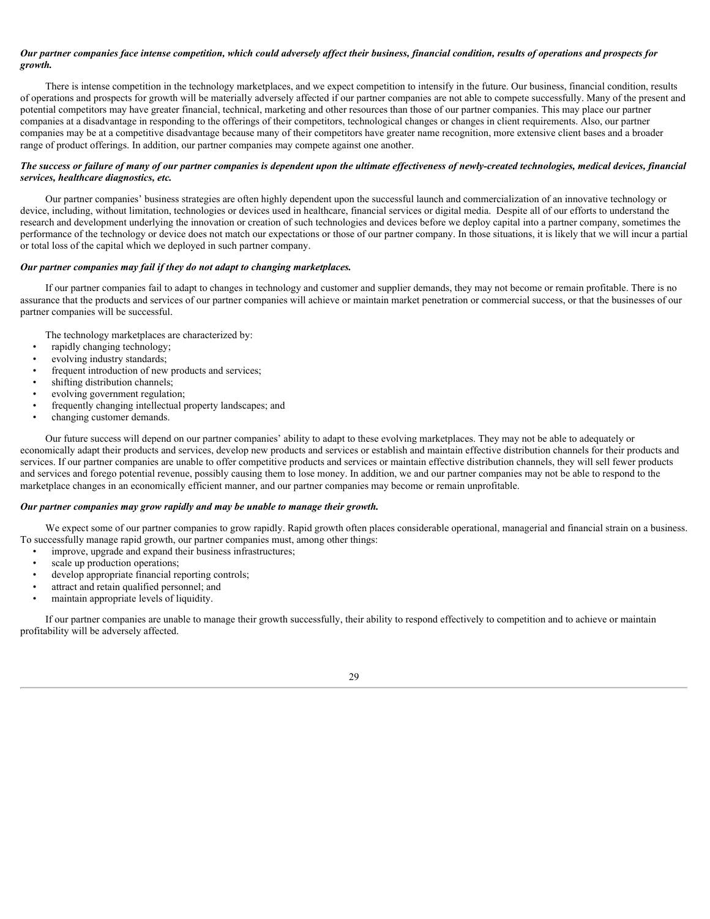# *Our partner companies face intense competition, which could adversely affect their business, financial condition, results of operations and prospects for growth.*

There is intense competition in the technology marketplaces, and we expect competition to intensify in the future. Our business, financial condition, results of operations and prospects for growth will be materially adversely affected if our partner companies are not able to compete successfully. Many of the present and potential competitors may have greater financial, technical, marketing and other resources than those of our partner companies. This may place our partner companies at a disadvantage in responding to the offerings of their competitors, technological changes or changes in client requirements. Also, our partner companies may be at a competitive disadvantage because many of their competitors have greater name recognition, more extensive client bases and a broader range of product offerings. In addition, our partner companies may compete against one another.

# *The success or failure of many of our partner companies is dependent upon the ultimate effectiveness of newly-created technologies, medical devices, financial services, healthcare diagnostics, etc.*

Our partner companies' business strategies are often highly dependent upon the successful launch and commercialization of an innovative technology or device, including, without limitation, technologies or devices used in healthcare, financial services or digital media. Despite all of our efforts to understand the research and development underlying the innovation or creation of such technologies and devices before we deploy capital into a partner company, sometimes the performance of the technology or device does not match our expectations or those of our partner company. In those situations, it is likely that we will incur a partial or total loss of the capital which we deployed in such partner company.

# *Our partner companies may fail if they do not adapt to changing marketplaces.*

If our partner companies fail to adapt to changes in technology and customer and supplier demands, they may not become or remain profitable. There is no assurance that the products and services of our partner companies will achieve or maintain market penetration or commercial success, or that the businesses of our partner companies will be successful.

The technology marketplaces are characterized by:

- rapidly changing technology;
- evolving industry standards;
- frequent introduction of new products and services;
- shifting distribution channels;
- evolving government regulation;
- frequently changing intellectual property landscapes; and
- changing customer demands.

Our future success will depend on our partner companies' ability to adapt to these evolving marketplaces. They may not be able to adequately or economically adapt their products and services, develop new products and services or establish and maintain effective distribution channels for their products and services. If our partner companies are unable to offer competitive products and services or maintain effective distribution channels, they will sell fewer products and services and forego potential revenue, possibly causing them to lose money. In addition, we and our partner companies may not be able to respond to the marketplace changes in an economically efficient manner, and our partner companies may become or remain unprofitable.

# *Our partner companies may grow rapidly and may be unable to manage their growth.*

We expect some of our partner companies to grow rapidly. Rapid growth often places considerable operational, managerial and financial strain on a business. To successfully manage rapid growth, our partner companies must, among other things:

- improve, upgrade and expand their business infrastructures;
- scale up production operations;
- develop appropriate financial reporting controls;
- attract and retain qualified personnel; and
- maintain appropriate levels of liquidity.

If our partner companies are unable to manage their growth successfully, their ability to respond effectively to competition and to achieve or maintain profitability will be adversely affected.

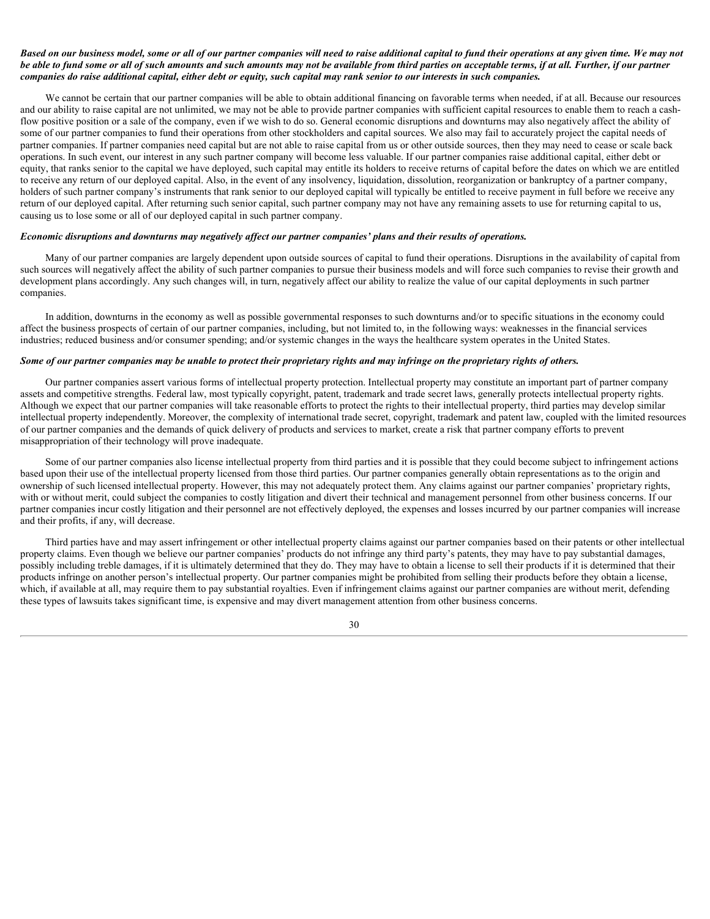# *Based on our business model, some or all of our partner companies will need to raise additional capital to fund their operations at any given time. We may not be able to fund some or all of such amounts and such amounts may not be available from third parties on acceptable terms, if at all. Further, if our partner companies do raise additional capital, either debt or equity, such capital may rank senior to our interests in such companies.*

We cannot be certain that our partner companies will be able to obtain additional financing on favorable terms when needed, if at all. Because our resources and our ability to raise capital are not unlimited, we may not be able to provide partner companies with sufficient capital resources to enable them to reach a cashflow positive position or a sale of the company, even if we wish to do so. General economic disruptions and downturns may also negatively affect the ability of some of our partner companies to fund their operations from other stockholders and capital sources. We also may fail to accurately project the capital needs of partner companies. If partner companies need capital but are not able to raise capital from us or other outside sources, then they may need to cease or scale back operations. In such event, our interest in any such partner company will become less valuable. If our partner companies raise additional capital, either debt or equity, that ranks senior to the capital we have deployed, such capital may entitle its holders to receive returns of capital before the dates on which we are entitled to receive any return of our deployed capital. Also, in the event of any insolvency, liquidation, dissolution, reorganization or bankruptcy of a partner company, holders of such partner company's instruments that rank senior to our deployed capital will typically be entitled to receive payment in full before we receive any return of our deployed capital. After returning such senior capital, such partner company may not have any remaining assets to use for returning capital to us, causing us to lose some or all of our deployed capital in such partner company.

# *Economic disruptions and downturns may negatively affect our partner companies' plans and their results of operations.*

Many of our partner companies are largely dependent upon outside sources of capital to fund their operations. Disruptions in the availability of capital from such sources will negatively affect the ability of such partner companies to pursue their business models and will force such companies to revise their growth and development plans accordingly. Any such changes will, in turn, negatively affect our ability to realize the value of our capital deployments in such partner companies.

In addition, downturns in the economy as well as possible governmental responses to such downturns and/or to specific situations in the economy could affect the business prospects of certain of our partner companies, including, but not limited to, in the following ways: weaknesses in the financial services industries; reduced business and/or consumer spending; and/or systemic changes in the ways the healthcare system operates in the United States.

#### *Some of our partner companies may be unable to protect their proprietary rights and may infringe on the proprietary rights of others.*

Our partner companies assert various forms of intellectual property protection. Intellectual property may constitute an important part of partner company assets and competitive strengths. Federal law, most typically copyright, patent, trademark and trade secret laws, generally protects intellectual property rights. Although we expect that our partner companies will take reasonable efforts to protect the rights to their intellectual property, third parties may develop similar intellectual property independently. Moreover, the complexity of international trade secret, copyright, trademark and patent law, coupled with the limited resources of our partner companies and the demands of quick delivery of products and services to market, create a risk that partner company efforts to prevent misappropriation of their technology will prove inadequate.

Some of our partner companies also license intellectual property from third parties and it is possible that they could become subject to infringement actions based upon their use of the intellectual property licensed from those third parties. Our partner companies generally obtain representations as to the origin and ownership of such licensed intellectual property. However, this may not adequately protect them. Any claims against our partner companies' proprietary rights, with or without merit, could subject the companies to costly litigation and divert their technical and management personnel from other business concerns. If our partner companies incur costly litigation and their personnel are not effectively deployed, the expenses and losses incurred by our partner companies will increase and their profits, if any, will decrease.

Third parties have and may assert infringement or other intellectual property claims against our partner companies based on their patents or other intellectual property claims. Even though we believe our partner companies' products do not infringe any third party's patents, they may have to pay substantial damages, possibly including treble damages, if it is ultimately determined that they do. They may have to obtain a license to sell their products if it is determined that their products infringe on another person's intellectual property. Our partner companies might be prohibited from selling their products before they obtain a license, which, if available at all, may require them to pay substantial royalties. Even if infringement claims against our partner companies are without merit, defending these types of lawsuits takes significant time, is expensive and may divert management attention from other business concerns.

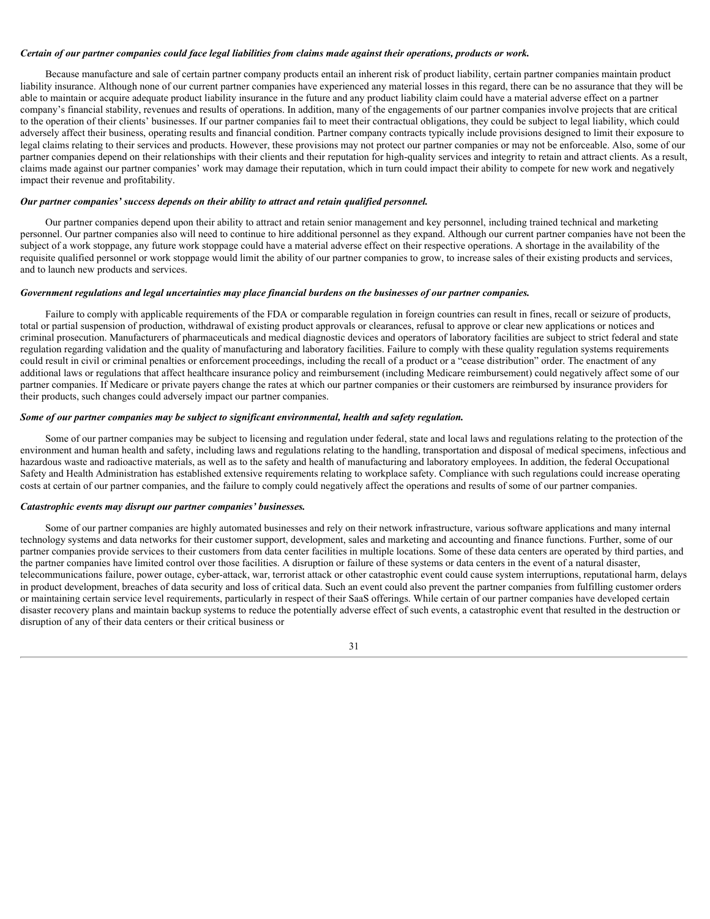#### *Certain of our partner companies could face legal liabilities from claims made against their operations, products or work.*

Because manufacture and sale of certain partner company products entail an inherent risk of product liability, certain partner companies maintain product liability insurance. Although none of our current partner companies have experienced any material losses in this regard, there can be no assurance that they will be able to maintain or acquire adequate product liability insurance in the future and any product liability claim could have a material adverse effect on a partner company's financial stability, revenues and results of operations. In addition, many of the engagements of our partner companies involve projects that are critical to the operation of their clients' businesses. If our partner companies fail to meet their contractual obligations, they could be subject to legal liability, which could adversely affect their business, operating results and financial condition. Partner company contracts typically include provisions designed to limit their exposure to legal claims relating to their services and products. However, these provisions may not protect our partner companies or may not be enforceable. Also, some of our partner companies depend on their relationships with their clients and their reputation for high-quality services and integrity to retain and attract clients. As a result, claims made against our partner companies' work may damage their reputation, which in turn could impact their ability to compete for new work and negatively impact their revenue and profitability.

#### *Our partner companies' success depends on their ability to attract and retain qualified personnel.*

Our partner companies depend upon their ability to attract and retain senior management and key personnel, including trained technical and marketing personnel. Our partner companies also will need to continue to hire additional personnel as they expand. Although our current partner companies have not been the subject of a work stoppage, any future work stoppage could have a material adverse effect on their respective operations. A shortage in the availability of the requisite qualified personnel or work stoppage would limit the ability of our partner companies to grow, to increase sales of their existing products and services, and to launch new products and services.

#### *Government regulations and legal uncertainties may place financial burdens on the businesses of our partner companies.*

Failure to comply with applicable requirements of the FDA or comparable regulation in foreign countries can result in fines, recall or seizure of products, total or partial suspension of production, withdrawal of existing product approvals or clearances, refusal to approve or clear new applications or notices and criminal prosecution. Manufacturers of pharmaceuticals and medical diagnostic devices and operators of laboratory facilities are subject to strict federal and state regulation regarding validation and the quality of manufacturing and laboratory facilities. Failure to comply with these quality regulation systems requirements could result in civil or criminal penalties or enforcement proceedings, including the recall of a product or a "cease distribution" order. The enactment of any additional laws or regulations that affect healthcare insurance policy and reimbursement (including Medicare reimbursement) could negatively affect some of our partner companies. If Medicare or private payers change the rates at which our partner companies or their customers are reimbursed by insurance providers for their products, such changes could adversely impact our partner companies.

#### *Some of our partner companies may be subject to significant environmental, health and safety regulation.*

Some of our partner companies may be subject to licensing and regulation under federal, state and local laws and regulations relating to the protection of the environment and human health and safety, including laws and regulations relating to the handling, transportation and disposal of medical specimens, infectious and hazardous waste and radioactive materials, as well as to the safety and health of manufacturing and laboratory employees. In addition, the federal Occupational Safety and Health Administration has established extensive requirements relating to workplace safety. Compliance with such regulations could increase operating costs at certain of our partner companies, and the failure to comply could negatively affect the operations and results of some of our partner companies.

#### *Catastrophic events may disrupt our partner companies' businesses.*

Some of our partner companies are highly automated businesses and rely on their network infrastructure, various software applications and many internal technology systems and data networks for their customer support, development, sales and marketing and accounting and finance functions. Further, some of our partner companies provide services to their customers from data center facilities in multiple locations. Some of these data centers are operated by third parties, and the partner companies have limited control over those facilities. A disruption or failure of these systems or data centers in the event of a natural disaster, telecommunications failure, power outage, cyber-attack, war, terrorist attack or other catastrophic event could cause system interruptions, reputational harm, delays in product development, breaches of data security and loss of critical data. Such an event could also prevent the partner companies from fulfilling customer orders or maintaining certain service level requirements, particularly in respect of their SaaS offerings. While certain of our partner companies have developed certain disaster recovery plans and maintain backup systems to reduce the potentially adverse effect of such events, a catastrophic event that resulted in the destruction or disruption of any of their data centers or their critical business or

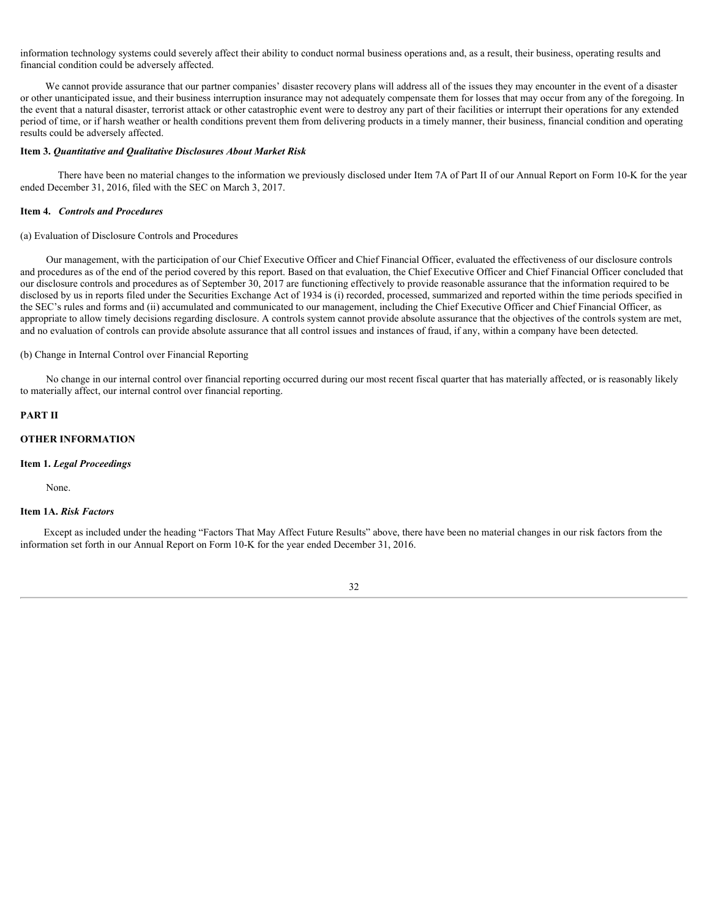information technology systems could severely affect their ability to conduct normal business operations and, as a result, their business, operating results and financial condition could be adversely affected.

We cannot provide assurance that our partner companies' disaster recovery plans will address all of the issues they may encounter in the event of a disaster or other unanticipated issue, and their business interruption insurance may not adequately compensate them for losses that may occur from any of the foregoing. In the event that a natural disaster, terrorist attack or other catastrophic event were to destroy any part of their facilities or interrupt their operations for any extended period of time, or if harsh weather or health conditions prevent them from delivering products in a timely manner, their business, financial condition and operating results could be adversely affected.

### <span id="page-31-0"></span>**Item 3.** *Quantitative and Qualitative Disclosures About Market Risk*

There have been no material changes to the information we previously disclosed under Item 7A of Part II of our Annual Report on Form 10-K for the year ended December 31, 2016, filed with the SEC on March 3, 2017.

#### <span id="page-31-1"></span>**Item 4.** *Controls and Procedures*

#### (a) Evaluation of Disclosure Controls and Procedures

Our management, with the participation of our Chief Executive Officer and Chief Financial Officer, evaluated the effectiveness of our disclosure controls and procedures as of the end of the period covered by this report. Based on that evaluation, the Chief Executive Officer and Chief Financial Officer concluded that our disclosure controls and procedures as of September 30, 2017 are functioning effectively to provide reasonable assurance that the information required to be disclosed by us in reports filed under the Securities Exchange Act of 1934 is (i) recorded, processed, summarized and reported within the time periods specified in the SEC's rules and forms and (ii) accumulated and communicated to our management, including the Chief Executive Officer and Chief Financial Officer, as appropriate to allow timely decisions regarding disclosure. A controls system cannot provide absolute assurance that the objectives of the controls system are met, and no evaluation of controls can provide absolute assurance that all control issues and instances of fraud, if any, within a company have been detected.

### (b) Change in Internal Control over Financial Reporting

No change in our internal control over financial reporting occurred during our most recent fiscal quarter that has materially affected, or is reasonably likely to materially affect, our internal control over financial reporting.

# <span id="page-31-2"></span>**PART II**

# **OTHER INFORMATION**

#### **Item 1.** *Legal Proceedings*

None.

# <span id="page-31-3"></span>**Item 1A.** *Risk Factors*

Except as included under the heading "Factors That May Affect Future Results" above, there have been no material changes in our risk factors from the information set forth in our Annual Report on Form 10-K for the year ended December 31, 2016.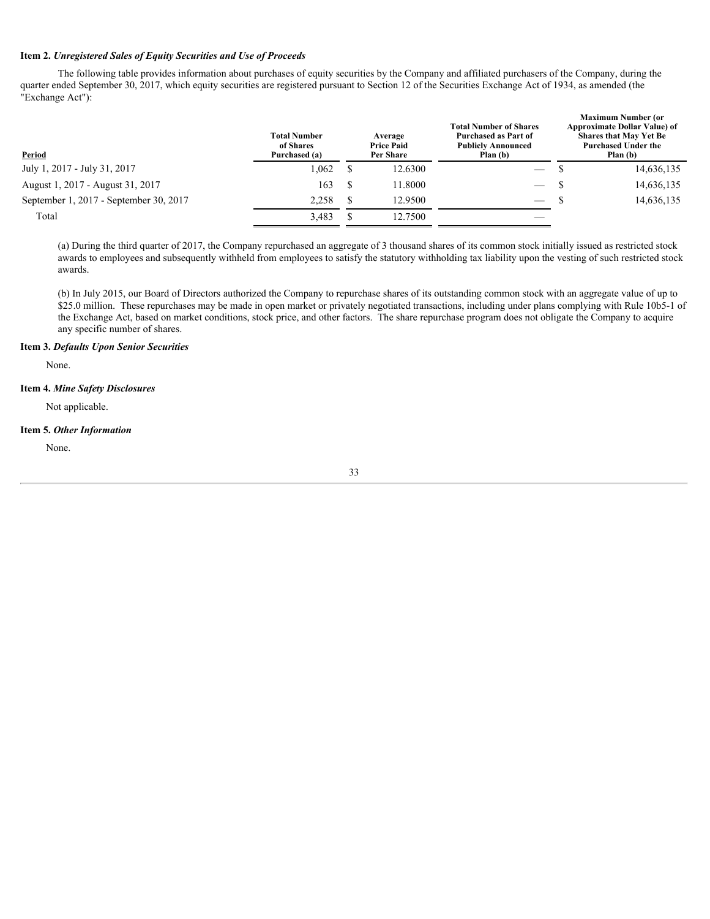# <span id="page-32-0"></span>**Item 2.** *Unregistered Sales of Equity Securities and Use of Proceeds*

The following table provides information about purchases of equity securities by the Company and affiliated purchasers of the Company, during the quarter ended September 30, 2017, which equity securities are registered pursuant to Section 12 of the Securities Exchange Act of 1934, as amended (the "Exchange Act"):

| Period                                 | <b>Total Number</b><br>of Shares<br>Purchased (a) | Average<br><b>Price Paid</b><br>Per Share |         | <b>Total Number of Shares</b><br>Purchased as Part of<br><b>Publicly Announced</b><br>Plan (b) |  | <b>Maximum Number (or</b><br><b>Approximate Dollar Value) of</b><br><b>Shares that May Yet Be</b><br><b>Purchased Under the</b><br>Plan (b) |  |  |
|----------------------------------------|---------------------------------------------------|-------------------------------------------|---------|------------------------------------------------------------------------------------------------|--|---------------------------------------------------------------------------------------------------------------------------------------------|--|--|
| July 1, 2017 - July 31, 2017           | 1,062                                             |                                           | 12.6300 | $\overline{\phantom{m}}$                                                                       |  | 14,636,135                                                                                                                                  |  |  |
| August 1, 2017 - August 31, 2017       | 163                                               |                                           | 11.8000 | $\overline{\phantom{a}}$                                                                       |  | 14,636,135                                                                                                                                  |  |  |
| September 1, 2017 - September 30, 2017 | 2,258                                             |                                           | 12.9500 | $\overline{\phantom{a}}$                                                                       |  | 14,636,135                                                                                                                                  |  |  |
| Total                                  | 3,483                                             |                                           | 12.7500 | $\overbrace{\hspace{25mm}}^{}$                                                                 |  |                                                                                                                                             |  |  |
|                                        |                                                   |                                           |         |                                                                                                |  |                                                                                                                                             |  |  |

(a) During the third quarter of 2017, the Company repurchased an aggregate of 3 thousand shares of its common stock initially issued as restricted stock awards to employees and subsequently withheld from employees to satisfy the statutory withholding tax liability upon the vesting of such restricted stock awards.

(b) In July 2015, our Board of Directors authorized the Company to repurchase shares of its outstanding common stock with an aggregate value of up to \$25.0 million. These repurchases may be made in open market or privately negotiated transactions, including under plans complying with Rule 10b5-1 of the Exchange Act, based on market conditions, stock price, and other factors. The share repurchase program does not obligate the Company to acquire any specific number of shares.

## <span id="page-32-1"></span>**Item 3.** *Defaults Upon Senior Securities*

None.

# <span id="page-32-2"></span>**Item 4.** *Mine Safety Disclosures*

Not applicable.

## <span id="page-32-3"></span>**Item 5.** *Other Information*

None.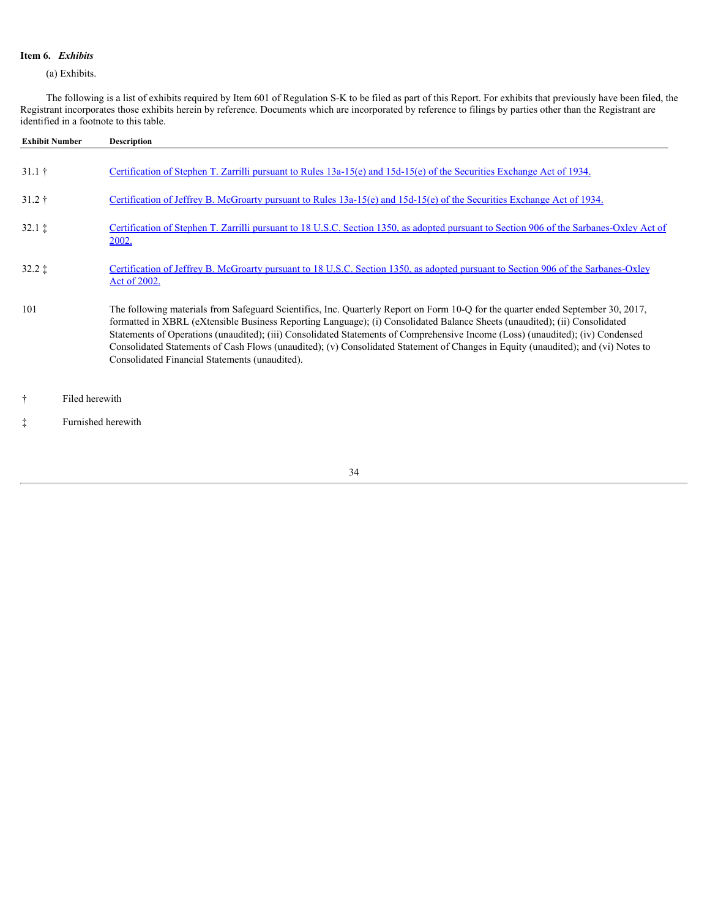# <span id="page-33-0"></span>**Item 6.** *Exhibits*

(a) Exhibits.

The following is a list of exhibits required by Item 601 of Regulation S-K to be filed as part of this Report. For exhibits that previously have been filed, the Registrant incorporates those exhibits herein by reference. Documents which are incorporated by reference to filings by parties other than the Registrant are identified in a footnote to this table.

| <b>Exhibit Number</b>   | <b>Description</b>                                                                                                                                                                                                                                                                                                                                                                                                                                                                                                                                                                      |
|-------------------------|-----------------------------------------------------------------------------------------------------------------------------------------------------------------------------------------------------------------------------------------------------------------------------------------------------------------------------------------------------------------------------------------------------------------------------------------------------------------------------------------------------------------------------------------------------------------------------------------|
| $31.1 \;{\dagger}$      | Certification of Stephen T. Zarrilli pursuant to Rules 13a-15(e) and 15d-15(e) of the Securities Exchange Act of 1934.                                                                                                                                                                                                                                                                                                                                                                                                                                                                  |
| $31.2 \;{\rm \ddagger}$ | Certification of Jeffrey B. McGroarty pursuant to Rules 13a-15(e) and 15d-15(e) of the Securities Exchange Act of 1934.                                                                                                                                                                                                                                                                                                                                                                                                                                                                 |
| $32.1 \; \text{t}$      | Certification of Stephen T. Zarrilli pursuant to 18 U.S.C. Section 1350, as adopted pursuant to Section 906 of the Sarbanes-Oxley Act of<br><u>2002.</u>                                                                                                                                                                                                                                                                                                                                                                                                                                |
| $32.2 \;$ $\ddagger$    | Certification of Jeffrey B. McGroarty pursuant to 18 U.S.C. Section 1350, as adopted pursuant to Section 906 of the Sarbanes-Oxley<br>Act of 2002.                                                                                                                                                                                                                                                                                                                                                                                                                                      |
| 101                     | The following materials from Safeguard Scientifics, Inc. Quarterly Report on Form 10-Q for the quarter ended September 30, 2017,<br>formatted in XBRL (eXtensible Business Reporting Language); (i) Consolidated Balance Sheets (unaudited); (ii) Consolidated<br>Statements of Operations (unaudited); (iii) Consolidated Statements of Comprehensive Income (Loss) (unaudited); (iv) Condensed<br>Consolidated Statements of Cash Flows (unaudited); (v) Consolidated Statement of Changes in Equity (unaudited); and (vi) Notes to<br>Consolidated Financial Statements (unaudited). |
| ÷                       | Filed herewith                                                                                                                                                                                                                                                                                                                                                                                                                                                                                                                                                                          |

‡ Furnished herewith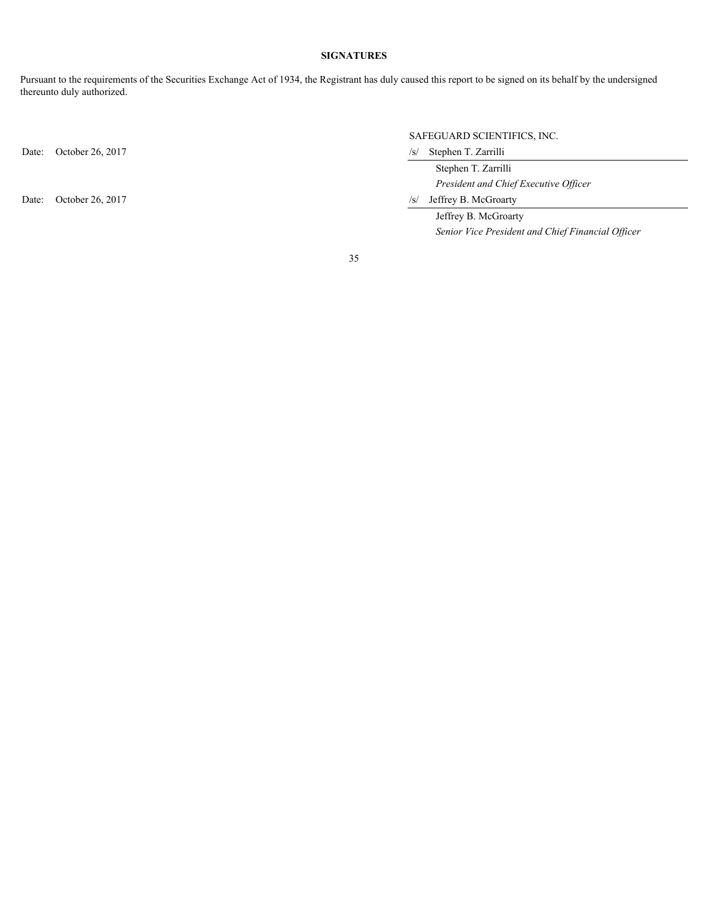# **SIGNATURES**

<span id="page-34-0"></span>Pursuant to the requirements of the Securities Exchange Act of 1934, the Registrant has duly caused this report to be signed on its behalf by the undersigned thereunto duly authorized.

Date: October 26, 2017 /s/ Stephen T. Zarrilli

# SAFEGUARD SCIENTIFICS, INC.

 Stephen T. Zarrilli *President and Chief Executive Officer*

Date: October 26, 2017 /s/ Jeffrey B. McGroarty

 Jeffrey B. McGroarty *Senior Vice President and Chief Financial Officer*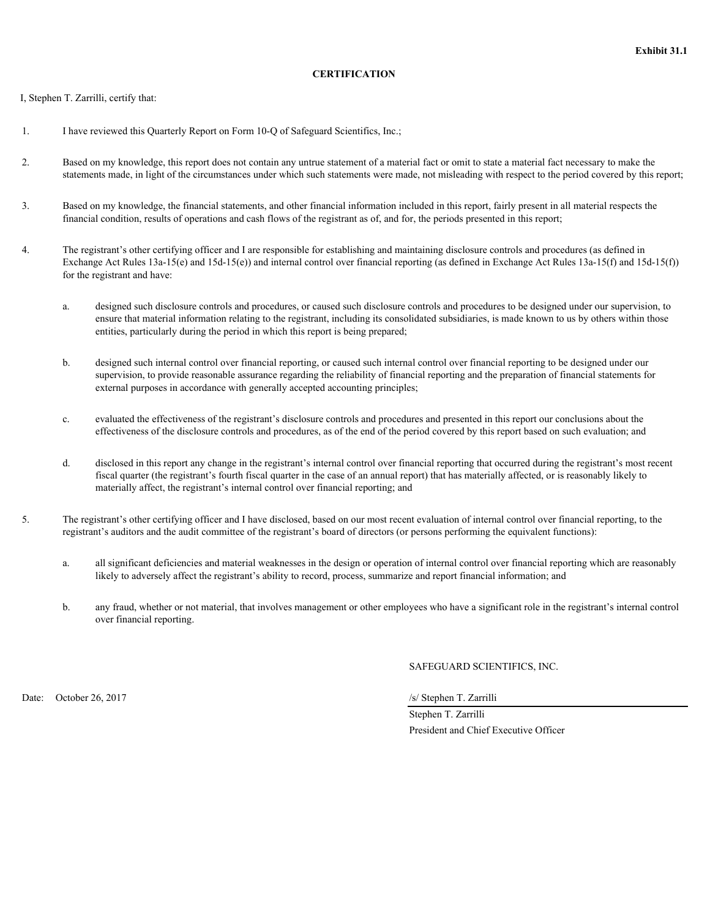# **CERTIFICATION**

<span id="page-35-0"></span>I, Stephen T. Zarrilli, certify that:

- 1. I have reviewed this Quarterly Report on Form 10-Q of Safeguard Scientifics, Inc.;
- 2. Based on my knowledge, this report does not contain any untrue statement of a material fact or omit to state a material fact necessary to make the statements made, in light of the circumstances under which such statements were made, not misleading with respect to the period covered by this report;
- 3. Based on my knowledge, the financial statements, and other financial information included in this report, fairly present in all material respects the financial condition, results of operations and cash flows of the registrant as of, and for, the periods presented in this report;
- 4. The registrant's other certifying officer and I are responsible for establishing and maintaining disclosure controls and procedures (as defined in Exchange Act Rules  $13a-15(e)$  and  $15d-15(e)$ ) and internal control over financial reporting (as defined in Exchange Act Rules  $13a-15(f)$ ) and  $15d-15(f)$ ) for the registrant and have:
	- a. designed such disclosure controls and procedures, or caused such disclosure controls and procedures to be designed under our supervision, to ensure that material information relating to the registrant, including its consolidated subsidiaries, is made known to us by others within those entities, particularly during the period in which this report is being prepared;
	- b. designed such internal control over financial reporting, or caused such internal control over financial reporting to be designed under our supervision, to provide reasonable assurance regarding the reliability of financial reporting and the preparation of financial statements for external purposes in accordance with generally accepted accounting principles;
	- c. evaluated the effectiveness of the registrant's disclosure controls and procedures and presented in this report our conclusions about the effectiveness of the disclosure controls and procedures, as of the end of the period covered by this report based on such evaluation; and
	- d. disclosed in this report any change in the registrant's internal control over financial reporting that occurred during the registrant's most recent fiscal quarter (the registrant's fourth fiscal quarter in the case of an annual report) that has materially affected, or is reasonably likely to materially affect, the registrant's internal control over financial reporting; and
- 5. The registrant's other certifying officer and I have disclosed, based on our most recent evaluation of internal control over financial reporting, to the registrant's auditors and the audit committee of the registrant's board of directors (or persons performing the equivalent functions):
	- a. all significant deficiencies and material weaknesses in the design or operation of internal control over financial reporting which are reasonably likely to adversely affect the registrant's ability to record, process, summarize and report financial information; and
	- b. any fraud, whether or not material, that involves management or other employees who have a significant role in the registrant's internal control over financial reporting.

SAFEGUARD SCIENTIFICS, INC.

Date: October 26, 2017<br>
October 26, 2017

 Stephen T. Zarrilli President and Chief Executive Officer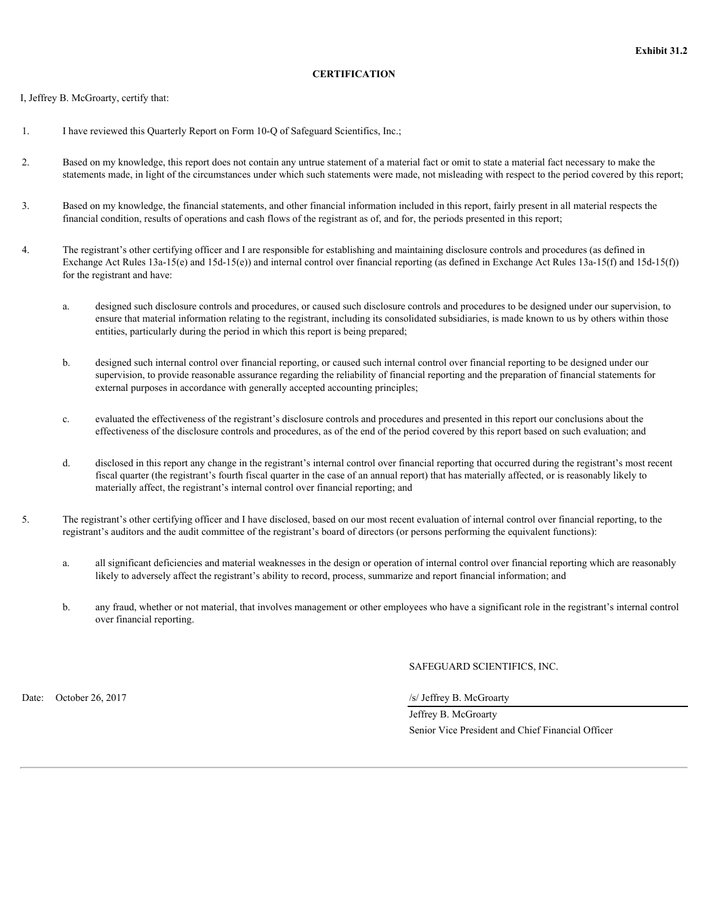# **CERTIFICATION**

<span id="page-36-0"></span>I, Jeffrey B. McGroarty, certify that:

- 1. I have reviewed this Quarterly Report on Form 10-Q of Safeguard Scientifics, Inc.;
- 2. Based on my knowledge, this report does not contain any untrue statement of a material fact or omit to state a material fact necessary to make the statements made, in light of the circumstances under which such statements were made, not misleading with respect to the period covered by this report;
- 3. Based on my knowledge, the financial statements, and other financial information included in this report, fairly present in all material respects the financial condition, results of operations and cash flows of the registrant as of, and for, the periods presented in this report;
- 4. The registrant's other certifying officer and I are responsible for establishing and maintaining disclosure controls and procedures (as defined in Exchange Act Rules  $13a-15(e)$  and  $15d-15(e)$ ) and internal control over financial reporting (as defined in Exchange Act Rules  $13a-15(f)$ ) and  $15d-15(f)$ ) for the registrant and have:
	- a. designed such disclosure controls and procedures, or caused such disclosure controls and procedures to be designed under our supervision, to ensure that material information relating to the registrant, including its consolidated subsidiaries, is made known to us by others within those entities, particularly during the period in which this report is being prepared;
	- b. designed such internal control over financial reporting, or caused such internal control over financial reporting to be designed under our supervision, to provide reasonable assurance regarding the reliability of financial reporting and the preparation of financial statements for external purposes in accordance with generally accepted accounting principles;
	- c. evaluated the effectiveness of the registrant's disclosure controls and procedures and presented in this report our conclusions about the effectiveness of the disclosure controls and procedures, as of the end of the period covered by this report based on such evaluation; and
	- d. disclosed in this report any change in the registrant's internal control over financial reporting that occurred during the registrant's most recent fiscal quarter (the registrant's fourth fiscal quarter in the case of an annual report) that has materially affected, or is reasonably likely to materially affect, the registrant's internal control over financial reporting; and
- 5. The registrant's other certifying officer and I have disclosed, based on our most recent evaluation of internal control over financial reporting, to the registrant's auditors and the audit committee of the registrant's board of directors (or persons performing the equivalent functions):
	- a. all significant deficiencies and material weaknesses in the design or operation of internal control over financial reporting which are reasonably likely to adversely affect the registrant's ability to record, process, summarize and report financial information; and
	- b. any fraud, whether or not material, that involves management or other employees who have a significant role in the registrant's internal control over financial reporting.

SAFEGUARD SCIENTIFICS, INC.

Date: October 26, 2017<br>
October 26, 2017

 Jeffrey B. McGroarty Senior Vice President and Chief Financial Officer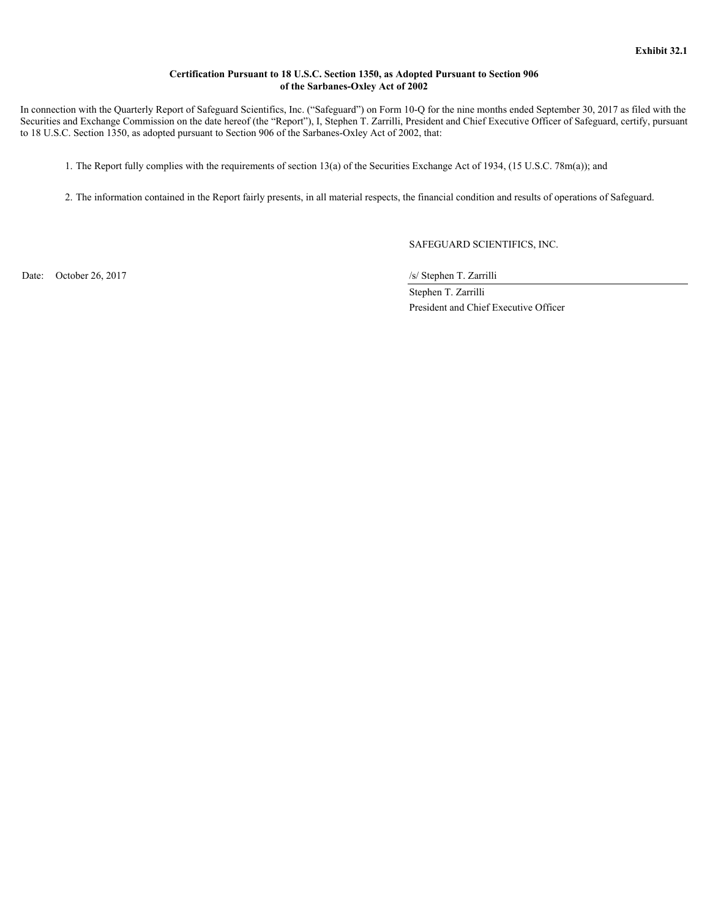# **Certification Pursuant to 18 U.S.C. Section 1350, as Adopted Pursuant to Section 906 of the Sarbanes-Oxley Act of 2002**

<span id="page-38-0"></span> In connection with the Quarterly Report of Safeguard Scientifics, Inc. ("Safeguard") on Form 10-Q for the nine months ended September 30, 2017 as filed with the Securities and Exchange Commission on the date hereof (the "Report"), I, Stephen T. Zarrilli, President and Chief Executive Officer of Safeguard, certify, pursuant to 18 U.S.C. Section 1350, as adopted pursuant to Section 906 of the Sarbanes-Oxley Act of 2002, that:

1. The Report fully complies with the requirements of section 13(a) of the Securities Exchange Act of 1934, (15 U.S.C. 78m(a)); and

2. The information contained in the Report fairly presents, in all material respects, the financial condition and results of operations of Safeguard.

SAFEGUARD SCIENTIFICS, INC.

Date: October 26, 2017<br>
October 26, 2017

 Stephen T. Zarrilli President and Chief Executive Officer